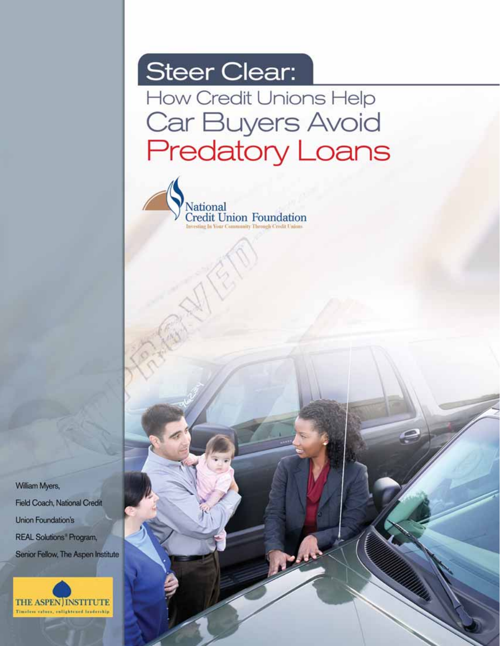# Steer Clear:

How Credit Unions Help Car Buyers Avoid **Predatory Loans** 

 **Steer Clearing Help Credit Unions Help Car Buyers Avoid Predatory Lenders** 



William Myers, Field Coach, National Credit **Union Foundation's** REAL Solutions' Program, Senior Fellow, The Aspen Institute

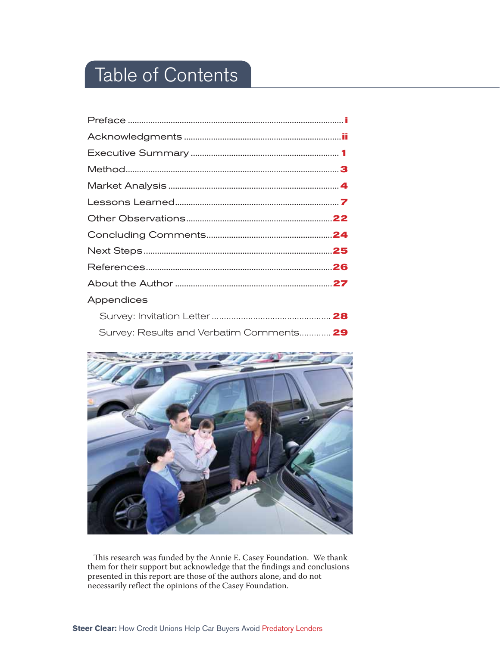## Table of Contents

| Appendices                               |  |
|------------------------------------------|--|
|                                          |  |
| Survey: Results and Verbatim Comments 29 |  |



This research was funded by the Annie E. Casey Foundation. We thank them for their support but acknowledge that the findings and conclusions presented in this report are those of the authors alone, and do not necessarily reflect the opinions of the Casey Foundation.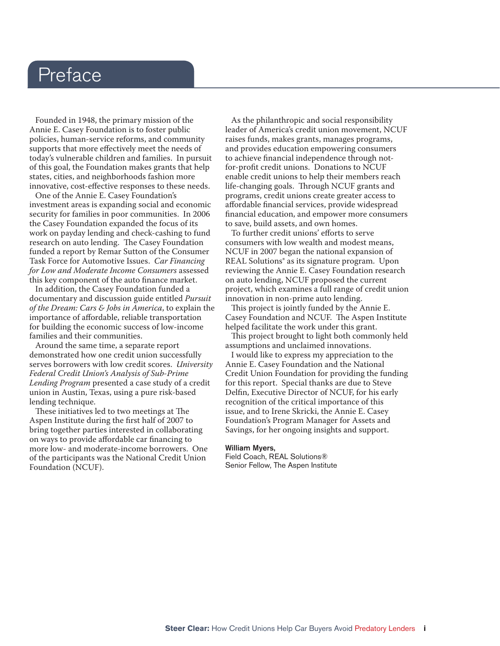### Preface

Founded in 1948, the primary mission of the Annie E. Casey Foundation is to foster public policies, human-service reforms, and community supports that more effectively meet the needs of today's vulnerable children and families. In pursuit of this goal, the Foundation makes grants that help states, cities, and neighborhoods fashion more innovative, cost-effective responses to these needs.

One of the Annie E. Casey Foundation's investment areas is expanding social and economic security for families in poor communities. In 2006 the Casey Foundation expanded the focus of its work on payday lending and check-cashing to fund research on auto lending. The Casey Foundation funded a report by Remar Sutton of the Consumer Task Force for Automotive Issues. *Car Financing for Low and Moderate Income Consumers* assessed this key component of the auto finance market.

In addition, the Casey Foundation funded a documentary and discussion guide entitled *Pursuit of the Dream: Cars & Jobs in America*, to explain the importance of affordable, reliable transportation for building the economic success of low-income families and their communities.

Around the same time, a separate report demonstrated how one credit union successfully serves borrowers with low credit scores. *University Federal Credit Union's Analysis of Sub-Prime Lending Program* presented a case study of a credit union in Austin, Texas, using a pure risk-based lending technique.

These initiatives led to two meetings at The Aspen Institute during the first half of 2007 to bring together parties interested in collaborating on ways to provide affordable car financing to more low- and moderate-income borrowers. One of the participants was the National Credit Union Foundation (NCUF).

As the philanthropic and social responsibility leader of America's credit union movement, NCUF raises funds, makes grants, manages programs, and provides education empowering consumers to achieve financial independence through notfor-profit credit unions. Donations to NCUF enable credit unions to help their members reach life-changing goals. Through NCUF grants and programs, credit unions create greater access to affordable financial services, provide widespread financial education, and empower more consumers to save, build assets, and own homes.

To further credit unions' efforts to serve consumers with low wealth and modest means, NCUF in 2007 began the national expansion of REAL Solutions® as its signature program. Upon reviewing the Annie E. Casey Foundation research on auto lending, NCUF proposed the current project, which examines a full range of credit union innovation in non-prime auto lending.

This project is jointly funded by the Annie E. Casey Foundation and NCUF. The Aspen Institute helped facilitate the work under this grant.

This project brought to light both commonly held assumptions and unclaimed innovations.

I would like to express my appreciation to the Annie E. Casey Foundation and the National Credit Union Foundation for providing the funding for this report. Special thanks are due to Steve Delfin, Executive Director of NCUF, for his early recognition of the critical importance of this issue, and to Irene Skricki, the Annie E. Casey Foundation's Program Manager for Assets and Savings, for her ongoing insights and support.

#### William Myers,

Field Coach, REAL Solutions® Senior Fellow, The Aspen Institute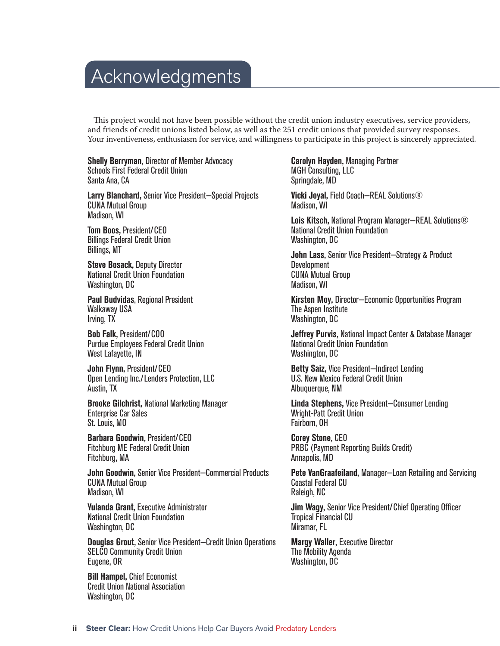## Acknowledgments

This project would not have been possible without the credit union industry executives, service providers, and friends of credit unions listed below, as well as the 251 credit unions that provided survey responses. Your inventiveness, enthusiasm for service, and willingness to participate in this project is sincerely appreciated.

**Shelly Berryman,** Director of Member Advocacy Schools First Federal Credit Union Santa Ana, CA

**Larry Blanchard,** Senior Vice President—Special Projects CUNA Mutual Group Madison, WI

**Tom Boos,** President/CEO Billings Federal Credit Union Billings, MT

**Steve Bosack,** Deputy Director National Credit Union Foundation Washington, DC

**Paul Budvidas**, Regional President Walkaway USA Irving, TX

**Bob Falk,** President/COO Purdue Employees Federal Credit Union West Lafayette, IN

**John Flynn,** President/CEO Open Lending Inc./Lenders Protection, LLC Austin, TX

**Brooke Gilchrist,** National Marketing Manager Enterprise Car Sales St. Louis, MO

**Barbara Goodwin,** President/CEO Fitchburg ME Federal Credit Union Fitchburg, MA

**John Goodwin,** Senior Vice President—Commercial Products CUNA Mutual Group Madison, WI

**Yulanda Grant,** Executive Administrator National Credit Union Foundation Washington, DC

**Douglas Grout,** Senior Vice President—Credit Union Operations SELCO Community Credit Union Eugene, OR

**Bill Hampel,** Chief Economist Credit Union National Association Washington, DC

**Carolyn Hayden,** Managing Partner MGH Consulting, LLC Springdale, MD

**Vicki Joyal,** Field Coach—REAL Solutions® Madison, WI

**Lois Kitsch,** National Program Manager—REAL Solutions® National Credit Union Foundation Washington, DC

**John Lass,** Senior Vice President—Strategy & Product **Development** CUNA Mutual Group Madison, WI

**Kirsten Moy,** Director—Economic Opportunities Program The Aspen Institute Washington, DC

**Jeffrey Purvis,** National Impact Center & Database Manager National Credit Union Foundation Washington, DC

**Betty Saiz,** Vice President—Indirect Lending U.S. New Mexico Federal Credit Union Albuquerque, NM

**Linda Stephens,** Vice President—Consumer Lending Wright-Patt Credit Union Fairborn, OH

**Corey Stone,** CEO PRBC (Payment Reporting Builds Credit) Annapolis, MD

**Pete VanGraafeiland,** Manager—Loan Retailing and Servicing Coastal Federal CU Raleigh, NC

**Jim Wagy, Senior Vice President/Chief Operating Officer** Tropical Financial CU Miramar, FL

**Margy Waller,** Executive Director The Mobility Agenda Washington, DC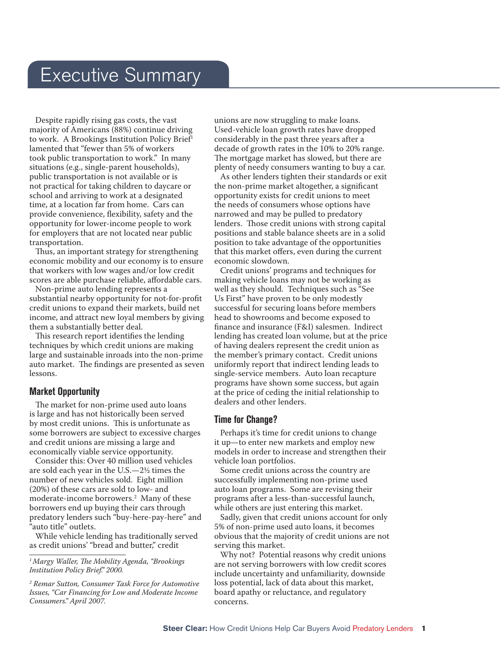### Executive Summary

Despite rapidly rising gas costs, the vast majority of Americans (88%) continue driving to work. A Brookings Institution Policy Brief<sup>1</sup> lamented that "fewer than 5% of workers took public transportation to work." In many situations (e.g., single-parent households), public transportation is not available or is not practical for taking children to daycare or school and arriving to work at a designated time, at a location far from home. Cars can provide convenience, flexibility, safety and the opportunity for lower-income people to work for employers that are not located near public transportation.

Thus, an important strategy for strengthening economic mobility and our economy is to ensure that workers with low wages and/or low credit scores are able purchase reliable, affordable cars.

Non-prime auto lending represents a substantial nearby opportunity for not-for-profit credit unions to expand their markets, build net income, and attract new loyal members by giving them a substantially better deal.

This research report identifies the lending techniques by which credit unions are making large and sustainable inroads into the non-prime auto market. The findings are presented as seven lessons.

#### **Market Opportunity**

The market for non-prime used auto loans is large and has not historically been served by most credit unions. This is unfortunate as some borrowers are subject to excessive charges and credit unions are missing a large and economically viable service opportunity.

Consider this: Over 40 million used vehicles are sold each year in the U.S.—2½ times the number of new vehicles sold. Eight million (20%) of these cars are sold to low- and moderate-income borrowers.2 Many of these borrowers end up buying their cars through predatory lenders such "buy-here-pay-here" and "auto title" outlets.

While vehicle lending has traditionally served as credit unions' "bread and butter," credit

unions are now struggling to make loans. Used-vehicle loan growth rates have dropped considerably in the past three years after a decade of growth rates in the 10% to 20% range. The mortgage market has slowed, but there are plenty of needy consumers wanting to buy a car.

As other lenders tighten their standards or exit the non-prime market altogether, a significant opportunity exists for credit unions to meet the needs of consumers whose options have narrowed and may be pulled to predatory lenders. Those credit unions with strong capital positions and stable balance sheets are in a solid position to take advantage of the opportunities that this market offers, even during the current economic slowdown.

Credit unions' programs and techniques for making vehicle loans may not be working as well as they should. Techniques such as "See Us First" have proven to be only modestly successful for securing loans before members head to showrooms and become exposed to finance and insurance (F&I) salesmen. Indirect lending has created loan volume, but at the price of having dealers represent the credit union as the member's primary contact. Credit unions uniformly report that indirect lending leads to single-service members. Auto loan recapture programs have shown some success, but again at the price of ceding the initial relationship to dealers and other lenders.

#### **Time for Change?**

Perhaps it's time for credit unions to change it up—to enter new markets and employ new models in order to increase and strengthen their vehicle loan portfolios.

Some credit unions across the country are successfully implementing non-prime used auto loan programs. Some are revising their programs after a less-than-successful launch, while others are just entering this market.

Sadly, given that credit unions account for only 5% of non-prime used auto loans, it becomes obvious that the majority of credit unions are not serving this market.

Why not? Potential reasons why credit unions are not serving borrowers with low credit scores include uncertainty and unfamiliarity, downside loss potential, lack of data about this market, board apathy or reluctance, and regulatory concerns.

<sup>&</sup>lt;sup>1</sup> Margy Waller, The Mobility Agenda, "Brookings *Institution Policy Brief." 2000.*

*<sup>2</sup> Remar Sutton, Consumer Task Force for Automotive Issues, "Car Financing for Low and Moderate Income Consumers." April 2007.*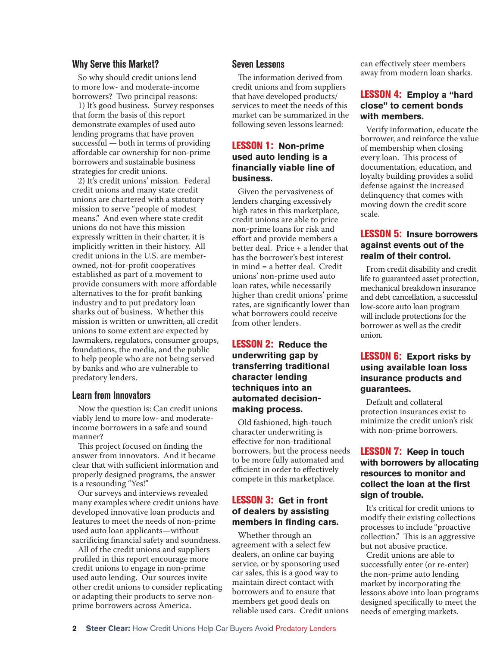#### **Why Serve this Market?**

So why should credit unions lend to more low- and moderate-income borrowers? Two principal reasons:

1) It's good business. Survey responses that form the basis of this report demonstrate examples of used auto lending programs that have proven successful — both in terms of providing affordable car ownership for non-prime borrowers and sustainable business strategies for credit unions.

2) It's credit unions' mission. Federal credit unions and many state credit unions are chartered with a statutory mission to serve "people of modest means." And even where state credit unions do not have this mission expressly written in their charter, it is implicitly written in their history. All credit unions in the U.S. are memberowned, not-for-profit cooperatives established as part of a movement to provide consumers with more affordable alternatives to the for-profit banking industry and to put predatory loan sharks out of business. Whether this mission is written or unwritten, all credit unions to some extent are expected by lawmakers, regulators, consumer groups, foundations, the media, and the public to help people who are not being served by banks and who are vulnerable to predatory lenders.

#### **Learn from Innovators**

Now the question is: Can credit unions viably lend to more low- and moderateincome borrowers in a safe and sound manner?

This project focused on finding the answer from innovators. And it became clear that with sufficient information and properly designed programs, the answer is a resounding "Yes!"

Our surveys and interviews revealed many examples where credit unions have developed innovative loan products and features to meet the needs of non-prime used auto loan applicants—without sacrificing financial safety and soundness.

All of the credit unions and suppliers profiled in this report encourage more credit unions to engage in non-prime used auto lending. Our sources invite other credit unions to consider replicating or adapting their products to serve nonprime borrowers across America.

#### **Seven Lessons**

The information derived from credit unions and from suppliers that have developed products/ services to meet the needs of this market can be summarized in the following seven lessons learned:

#### LESSON 1: **Non-prime used auto lending is a fi nancially viable line of business.**

Given the pervasiveness of lenders charging excessively high rates in this marketplace, credit unions are able to price non-prime loans for risk and effort and provide members a better deal. Price + a lender that has the borrower's best interest in mind = a better deal. Credit unions' non-prime used auto loan rates, while necessarily higher than credit unions' prime rates, are significantly lower than what borrowers could receive from other lenders.

#### LESSON 2: **Reduce the underwriting gap by transferring traditional character lending techniques into an automated decisionmaking process.**

Old fashioned, high-touch character underwriting is effective for non-traditional borrowers, but the process needs to be more fully automated and efficient in order to effectively compete in this marketplace.

#### LESSON 3: **Get in front of dealers by assisting**  members in finding cars.

Whether through an agreement with a select few dealers, an online car buying service, or by sponsoring used car sales, this is a good way to maintain direct contact with borrowers and to ensure that members get good deals on reliable used cars. Credit unions can effectively steer members away from modern loan sharks.

#### LESSON 4: **Employ a "hard close" to cement bonds with members.**

Verify information, educate the borrower, and reinforce the value of membership when closing every loan. This process of documentation, education, and loyalty building provides a solid defense against the increased delinquency that comes with moving down the credit score scale.

#### LESSON 5: **Insure borrowers against events out of the realm of their control.**

From credit disability and credit life to guaranteed asset protection, mechanical breakdown insurance and debt cancellation, a successful low-score auto loan program will include protections for the borrower as well as the credit union.

#### LESSON 6: **Export risks by using available loan loss insurance products and guarantees.**

Default and collateral protection insurances exist to minimize the credit union's risk with non-prime borrowers.

#### LESSON 7: **Keep in touch with borrowers by allocating resources to monitor and collect the loan at the first sign of trouble.**

It's critical for credit unions to modify their existing collections processes to include "proactive collection." This is an aggressive but not abusive practice.

Credit unions are able to successfully enter (or re-enter) the non-prime auto lending market by incorporating the lessons above into loan programs designed specifically to meet the needs of emerging markets.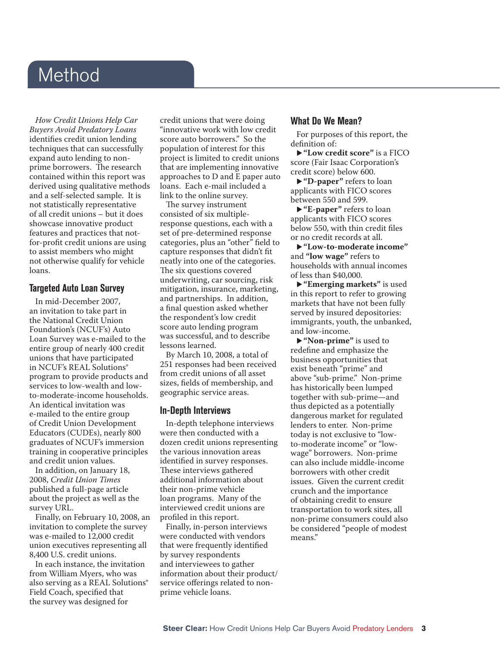### Method

*How Credit Unions Help Car Buyers Avoid Predatory Loans*  identifies credit union lending techniques that can successfully expand auto lending to nonprime borrowers. The research contained within this report was derived using qualitative methods and a self-selected sample. It is not statistically representative of all credit unions – but it does showcase innovative product features and practices that notfor-profit credit unions are using to assist members who might not otherwise qualify for vehicle loans.

#### **Targeted Auto Loan Survey**

In mid-December 2007, an invitation to take part in the National Credit Union Foundation's (NCUF's) Auto Loan Survey was e-mailed to the entire group of nearly 400 credit unions that have participated in NCUF's REAL Solutions® program to provide products and services to low-wealth and lowto-moderate-income households. An identical invitation was e-mailed to the entire group of Credit Union Development Educators (CUDEs), nearly 800 graduates of NCUF's immersion training in cooperative principles and credit union values.

In addition, on January 18, 2008, *Credit Union Times*  published a full-page article about the project as well as the survey URL.

Finally, on February 10, 2008, an invitation to complete the survey was e-mailed to 12,000 credit union executives representing all 8,400 U.S. credit unions.

In each instance, the invitation from William Myers, who was also serving as a REAL Solutions<sup>®</sup> Field Coach, specified that the survey was designed for

credit unions that were doing "innovative work with low credit score auto borrowers." So the population of interest for this project is limited to credit unions that are implementing innovative approaches to D and E paper auto loans. Each e-mail included a link to the online survey.

The survey instrument consisted of six multipleresponse questions, each with a set of pre-determined response categories, plus an "other" field to capture responses that didn't fit neatly into one of the categories. The six questions covered underwriting, car sourcing, risk mitigation, insurance, marketing, and partnerships. In addition, a final question asked whether the respondent's low credit score auto lending program was successful, and to describe lessons learned.

By March 10, 2008, a total of 251 responses had been received from credit unions of all asset sizes, fields of membership, and geographic service areas.

#### **In-Depth Interviews**

In-depth telephone interviews were then conducted with a dozen credit unions representing the various innovation areas identified in survey responses. These interviews gathered additional information about their non-prime vehicle loan programs. Many of the interviewed credit unions are profiled in this report.

Finally, in-person interviews were conducted with vendors that were frequently identified by survey respondents and interviewees to gather information about their product/ service offerings related to nonprime vehicle loans.

#### **What Do We Mean?**

For purposes of this report, the definition of:

► "Low credit score" is a FICO score (Fair Isaac Corporation's credit score) below 600.

u **"D-paper"** refers to loan applicants with FICO scores between 550 and 599.

u **"E-paper"** refers to loan applicants with FICO scores below 550, with thin credit files or no credit records at all.

u **"Low-to-moderate income"**  and **"low wage"** refers to households with annual incomes of less than \$40,000.

► "Emerging markets" is used in this report to refer to growing markets that have not been fully served by insured depositories: immigrants, youth, the unbanked, and low-income.

▶ "Non-prime" is used to redefine and emphasize the business opportunities that exist beneath "prime" and above "sub-prime." Non-prime has historically been lumped together with sub-prime—and thus depicted as a potentially dangerous market for regulated lenders to enter. Non-prime today is not exclusive to "lowto-moderate income" or "lowwage" borrowers. Non-prime can also include middle-income borrowers with other credit issues. Given the current credit crunch and the importance of obtaining credit to ensure transportation to work sites, all non-prime consumers could also be considered "people of modest means."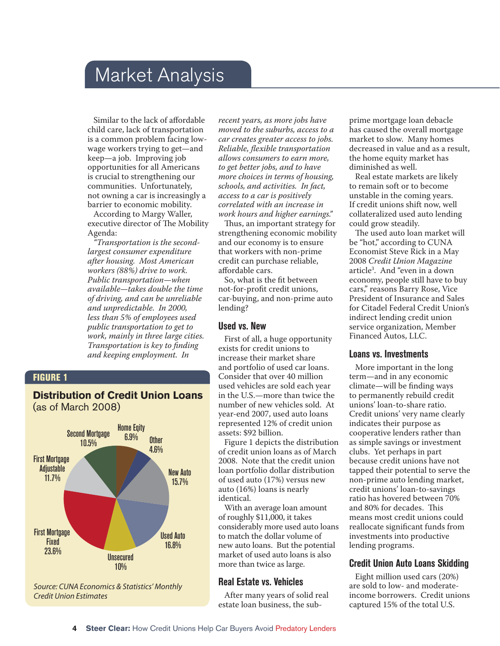### Market Analysis

Similar to the lack of affordable child care, lack of transportation is a common problem facing lowwage workers trying to get—and keep—a job. Improving job opportunities for all Americans is crucial to strengthening our communities. Unfortunately, not owning a car is increasingly a barrier to economic mobility.

According to Margy Waller, executive director of The Mobility Agenda:

*"Transportation is the secondlargest consumer expenditure after housing. Most American workers (88%) drive to work. Public transportation—when available—takes double the time of driving, and can be unreliable and unpredictable. In 2000, less than 5% of employees used public transportation to get to work, mainly in three large cities. Transportation is key to finding and keeping employment. In* 

#### FIGURE 1

#### **Distribution of Credit Union Loans**  (as of March 2008)



*recent years, as more jobs have moved to the suburbs, access to a car creates greater access to jobs. Reliable, flexible transportation allows consumers to earn more, to get better jobs, and to have more choices in terms of housing, schools, and activities. In fact, access to a car is positively correlated with an increase in work hours and higher earnings."*

Thus, an important strategy for strengthening economic mobility and our economy is to ensure that workers with non-prime credit can purchase reliable, affordable cars.

So, what is the fit between not-for-profit credit unions, car-buying, and non-prime auto lending?

#### **Used vs. New**

First of all, a huge opportunity exists for credit unions to increase their market share and portfolio of used car loans. Consider that over 40 million used vehicles are sold each year in the U.S.—more than twice the number of new vehicles sold. At year-end 2007, used auto loans represented 12% of credit union assets: \$92 billion.

Figure 1 depicts the distribution of credit union loans as of March 2008. Note that the credit union loan portfolio dollar distribution of used auto (17%) versus new auto (16%) loans is nearly identical.

With an average loan amount of roughly \$11,000, it takes considerably more used auto loans to match the dollar volume of new auto loans. But the potential market of used auto loans is also more than twice as large.

#### **Real Estate vs. Vehicles**

After many years of solid real estate loan business, the subprime mortgage loan debacle has caused the overall mortgage market to slow. Many homes decreased in value and as a result, the home equity market has diminished as well.

Real estate markets are likely to remain soft or to become unstable in the coming years. If credit unions shift now, well collateralized used auto lending could grow steadily.

The used auto loan market will be "hot," according to CUNA Economist Steve Rick in a May 2008 *Credit Union Magazine* article3 . And "even in a down economy, people still have to buy cars," reasons Barry Rose, Vice President of Insurance and Sales for Citadel Federal Credit Union's indirect lending credit union service organization, Member Financed Autos, LLC.

#### **Loans vs. Investments**

More important in the long term—and in any economic climate—will be finding ways to permanently rebuild credit unions' loan-to-share ratio. Credit unions' very name clearly indicates their purpose as cooperative lenders rather than as simple savings or investment clubs. Yet perhaps in part because credit unions have not tapped their potential to serve the non-prime auto lending market, credit unions' loan-to-savings ratio has hovered between 70% and 80% for decades. This means most credit unions could reallocate significant funds from investments into productive lending programs.

#### **Credit Union Auto Loans Skidding**

Eight million used cars (20%) are sold to low- and moderateincome borrowers. Credit unions captured 15% of the total U.S.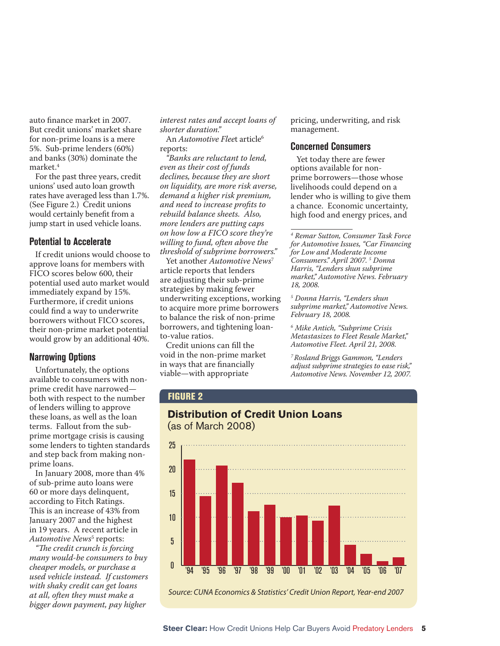auto finance market in 2007. But credit unions' market share for non-prime loans is a mere 5%. Sub-prime lenders (60%) and banks (30%) dominate the market.4

For the past three years, credit unions' used auto loan growth rates have averaged less than 1.7%. (See Figure 2.) Credit unions would certainly benefit from a jump start in used vehicle loans.

#### **Potential to Accelerate**

If credit unions would choose to approve loans for members with FICO scores below 600, their potential used auto market would immediately expand by 15%. Furthermore, if credit unions could find a way to underwrite borrowers without FICO scores, their non-prime market potential would grow by an additional 40%.

#### **Narrowing Options**

Unfortunately, the options available to consumers with nonprime credit have narrowed both with respect to the number of lenders willing to approve these loans, as well as the loan terms. Fallout from the subprime mortgage crisis is causing some lenders to tighten standards and step back from making nonprime loans.

In January 2008, more than 4% of sub-prime auto loans were 60 or more days delinquent, according to Fitch Ratings. This is an increase of 43% from January 2007 and the highest in 19 years. A recent article in Automotive News<sup>5</sup> reports:

*"The credit crunch is forcing many would-be consumers to buy cheaper models, or purchase a used vehicle instead. If customers with shaky credit can get loans at all, often they must make a bigger down payment, pay higher* 

*interest rates and accept loans of shorter duration."*

An *Automotive Fleet* article<sup>6</sup> reports:

*"Banks are reluctant to lend, even as their cost of funds declines, because they are short on liquidity, are more risk averse, demand a higher risk premium, and need to increase profits to rebuild balance sheets. Also, more lenders are putting caps on how low a FICO score they're willing to fund, often above the threshold of subprime borrowers."*

Yet another *Automotive News*<sup>7</sup> article reports that lenders are adjusting their sub-prime strategies by making fewer underwriting exceptions, working to acquire more prime borrowers to balance the risk of non-prime borrowers, and tightening loanto-value ratios.

Credit unions can fill the void in the non-prime market in ways that are financially viable—with appropriate

pricing, underwriting, and risk management.

#### **Concerned Consumers**

Yet today there are fewer options available for nonprime borrowers—those whose livelihoods could depend on a lender who is willing to give them a chance. Economic uncertainty, high food and energy prices, and

*4 Remar Sutton, Consumer Task Force for Automotive Issues, "Car Financing for Low and Moderate Income Consumers." April 2007. 5 Donna Harris, "Lenders shun subprime market," Automotive News. February 18, 2008.*

*5 Donna Harris, "Lenders shun subprime market," Automotive News. February 18, 2008.*

*6 Mike Antich, "Subprime Crisis Metastasizes to Fleet Resale Market," Automotive Fleet. April 21, 2008.*

*7 Rosland Briggs Gammon, "Lenders adjust subprime strategies to ease risk," Automotive News. November 12, 2007.*

#### FIGURE 2

## **Distribution of Credit Union Loans**  (as of March 2008) Source: CUNA Economics & Statistics' Credit Union Report, Year-end 2007 0 5 10 15 20 25 '94 '95 '96 '97 '98 '99 '00 '01 '02 '03 '04 '05 '06 '07

 **Steer Clear:** How Credit Unions Help Car Buyers Avoid Predatory Lenders **5**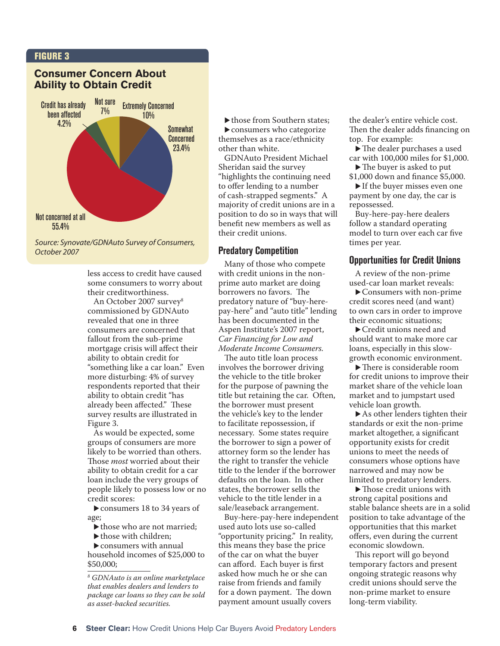#### FIGURE 3

#### **Consumer Concern About Ability to Obtain Credit**



Source: Synovate/GDNAuto Survey of Consumers, October 2007

less access to credit have caused some consumers to worry about their creditworthiness.

An October 2007 survey8 commissioned by GDNAuto revealed that one in three consumers are concerned that fallout from the sub-prime mortgage crisis will affect their ability to obtain credit for "something like a car loan." Even more disturbing: 4% of survey respondents reported that their ability to obtain credit "has already been affected." These survey results are illustrated in Figure 3.

As would be expected, some groups of consumers are more likely to be worried than others. Those *most* worried about their ability to obtain credit for a car loan include the very groups of people likely to possess low or no credit scores:

 $\triangleright$  consumers 18 to 34 years of age;

- $\blacktriangleright$  those who are not married;
- $\blacktriangleright$  those with children:

 $\blacktriangleright$  consumers with annual household incomes of \$25,000 to \$50,000;

 $\blacktriangleright$  those from Southern states;  $\blacktriangleright$  consumers who categorize themselves as a race/ethnicity other than white.

GDNAuto President Michael Sheridan said the survey "highlights the continuing need to offer lending to a number of cash-strapped segments." A majority of credit unions are in a position to do so in ways that will benefit new members as well as their credit unions.

#### **Predatory Competition**

Many of those who compete with credit unions in the nonprime auto market are doing borrowers no favors. The predatory nature of "buy-herepay-here" and "auto title" lending has been documented in the Aspen Institute's 2007 report, *Car Financing for Low and Moderate Income Consumers.*

The auto title loan process involves the borrower driving the vehicle to the title broker for the purpose of pawning the title but retaining the car. Often, the borrower must present the vehicle's key to the lender to facilitate repossession, if necessary. Some states require the borrower to sign a power of attorney form so the lender has the right to transfer the vehicle title to the lender if the borrower defaults on the loan. In other states, the borrower sells the vehicle to the title lender in a sale/leaseback arrangement.

Buy-here-pay-here independent used auto lots use so-called "opportunity pricing." In reality, this means they base the price of the car on what the buyer can afford. Each buyer is first asked how much he or she can raise from friends and family for a down payment. The down payment amount usually covers

the dealer's entire vehicle cost. Then the dealer adds financing on top. For example:

 $\blacktriangleright$  The dealer purchases a used car with 100,000 miles for \$1,000.

 $\blacktriangleright$  The buyer is asked to put \$1,000 down and finance \$5,000.

 $\blacktriangleright$  If the buyer misses even one payment by one day, the car is repossessed.

Buy-here-pay-here dealers follow a standard operating model to turn over each car five times per year.

#### **Opportunities for Credit Unions**

A review of the non-prime used-car loan market reveals:

 $\blacktriangleright$  Consumers with non-prime credit scores need (and want) to own cars in order to improve their economic situations;

 $\blacktriangleright$  Credit unions need and should want to make more car loans, especially in this slowgrowth economic environment.

 $\blacktriangleright$  There is considerable room for credit unions to improve their market share of the vehicle loan market and to jumpstart used vehicle loan growth.

 $\triangleright$  As other lenders tighten their standards or exit the non-prime market altogether, a significant opportunity exists for credit unions to meet the needs of consumers whose options have narrowed and may now be limited to predatory lenders.

 $\blacktriangleright$  Those credit unions with strong capital positions and stable balance sheets are in a solid position to take advantage of the opportunities that this market offers, even during the current economic slowdown.

This report will go beyond temporary factors and present ongoing strategic reasons why credit unions should serve the non-prime market to ensure long-term viability.

*<sup>8</sup> GDNAuto is an online marketplace that enables dealers and lenders to package car loans so they can be sold as asset-backed securities.*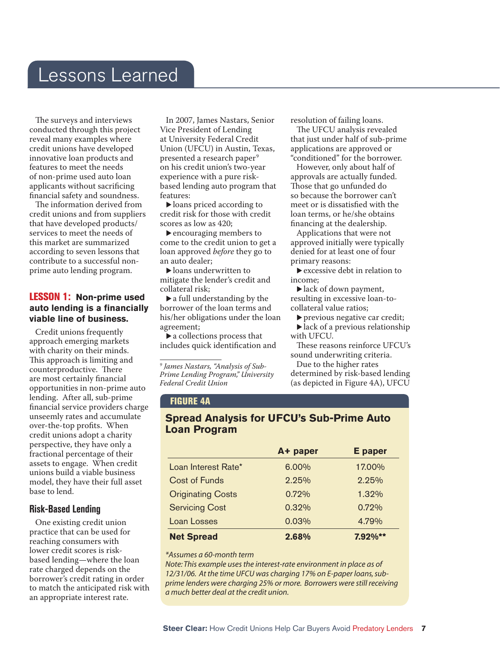### Lessons Learned

The surveys and interviews conducted through this project reveal many examples where credit unions have developed innovative loan products and features to meet the needs of non-prime used auto loan applicants without sacrificing financial safety and soundness.

The information derived from credit unions and from suppliers that have developed products/ services to meet the needs of this market are summarized according to seven lessons that contribute to a successful nonprime auto lending program.

#### LESSON 1: **Non-prime used**  auto lending is a financially **viable line of business.**

Credit unions frequently approach emerging markets with charity on their minds. This approach is limiting and counterproductive. There are most certainly financial opportunities in non-prime auto lending. After all, sub-prime financial service providers charge unseemly rates and accumulate over-the-top profits. When credit unions adopt a charity perspective, they have only a fractional percentage of their assets to engage. When credit unions build a viable business model, they have their full asset base to lend.

#### **Risk-Based Lending**

One existing credit union practice that can be used for reaching consumers with lower credit scores is riskbased lending—where the loan rate charged depends on the borrower's credit rating in order to match the anticipated risk with an appropriate interest rate.

In 2007, James Nastars, Senior Vice President of Lending at University Federal Credit Union (UFCU) in Austin, Texas, presented a research paper<sup>9</sup> on his credit union's two-year experience with a pure riskbased lending auto program that features:

 $\blacktriangleright$  loans priced according to credit risk for those with credit scores as low as 420;

 $\blacktriangleright$  encouraging members to come to the credit union to get a loan approved *before* they go to an auto dealer;

 $\blacktriangleright$  loans underwritten to mitigate the lender's credit and collateral risk;

 $\blacktriangleright$  a full understanding by the borrower of the loan terms and his/her obligations under the loan agreement;

 $\blacktriangleright$  a collections process that includes quick identification and

*9 James Nastars, "Analysis of Sub-Prime Lending Program," University Federal Credit Union*

resolution of failing loans.

The UFCU analysis revealed that just under half of sub-prime applications are approved or "conditioned" for the borrower.

However, only about half of approvals are actually funded. Those that go unfunded do so because the borrower can't meet or is dissatisfied with the loan terms, or he/she obtains financing at the dealership.

Applications that were not approved initially were typically denied for at least one of four primary reasons:

 $\blacktriangleright$  excessive debt in relation to income;

 $\blacktriangleright$  lack of down payment, resulting in excessive loan-tocollateral value ratios;

 $\blacktriangleright$  previous negative car credit;  $\blacktriangleright$  lack of a previous relationship with UFCU.

These reasons reinforce UFCU's sound underwriting criteria.

Due to the higher rates determined by risk-based lending (as depicted in Figure 4A), UFCU

#### FIGURE 4A

#### **Spread Analysis for UFCU's Sub-Prime Auto Loan Program**

|                          | A+ paper | <b>E</b> paper |
|--------------------------|----------|----------------|
| Loan Interest Rate*      | 6.00%    | 17.00%         |
| <b>Cost of Funds</b>     | 2.25%    | 2.25%          |
| <b>Originating Costs</b> | 0.72%    | 1.32%          |
| <b>Servicing Cost</b>    | 0.32%    | 0.72%          |
| <b>Loan Losses</b>       | 0.03%    | 4.79%          |
| <b>Net Spread</b>        | 2.68%    | $7.92\%**$     |

#### *\*Assumes a 60-month term*

*Note: This example uses the interest-rate environment in place as of 12/31/06. At the time UFCU was charging 17% on E-paper loans, subprime lenders were charging 25% or more. Borrowers were still receiving a much better deal at the credit union.*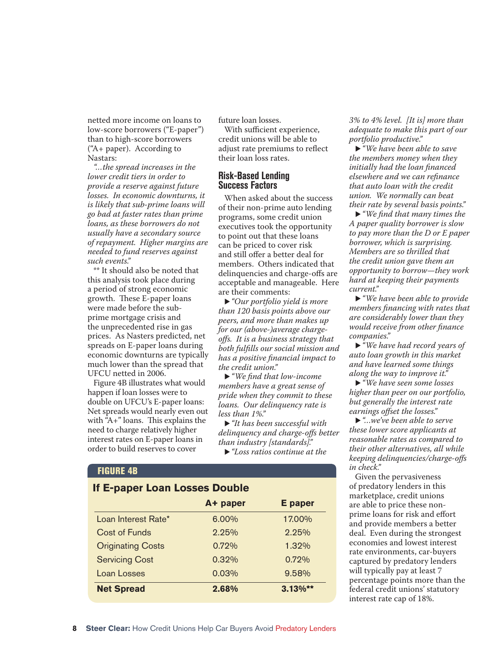netted more income on loans to low-score borrowers ("E-paper") than to high-score borrowers ("A+ paper). According to Nastars:

*"…the spread increases in the lower credit tiers in order to provide a reserve against future losses. In economic downturns, it is likely that sub-prime loans will go bad at faster rates than prime loans, as these borrowers do not usually have a secondary source of repayment. Higher margins are needed to fund reserves against such events."*

\*\* It should also be noted that this analysis took place during a period of strong economic growth. These E-paper loans were made before the subprime mortgage crisis and the unprecedented rise in gas prices. As Nasters predicted, net spreads on E-paper loans during economic downturns are typically much lower than the spread that UFCU netted in 2006.

Figure 4B illustrates what would happen if loan losses were to double on UFCU's E-paper loans: Net spreads would nearly even out with " $A+$ " loans. This explains the need to charge relatively higher interest rates on E-paper loans in order to build reserves to cover

future loan losses.

With sufficient experience, credit unions will be able to adjust rate premiums to reflect their loan loss rates.

#### **Risk-Based Lending Success Factors**

When asked about the success of their non-prime auto lending programs, some credit union executives took the opportunity to point out that these loans can be priced to cover risk and still offer a better deal for members. Others indicated that delinquencies and charge-offs are acceptable and manageable. Here are their comments:

▶ "Our portfolio yield is more" *than 120 basis points above our peers, and more than makes up for our (above-)average chargeoff s. It is a business strategy that both fulfills our social mission and has a positive fi nancial impact to the credit union."*

▶ "*We find that low-income members have a great sense of pride when they commit to these loans. Our delinquency rate is less than 1%."*

▶ "It has been successful with *delinquency and charge-off s better than industry [standards]."*

► "Loss ratios continue at the

#### FIGURE 4B

#### **If E-paper Loan Losses Double**

|                          | A+ paper | <b>E</b> paper |
|--------------------------|----------|----------------|
| Loan Interest Rate*      | 6.00%    | 17.00%         |
| <b>Cost of Funds</b>     | 2.25%    | 2.25%          |
| <b>Originating Costs</b> | 0.72%    | 1.32%          |
| <b>Servicing Cost</b>    | 0.32%    | 0.72%          |
| Loan Losses              | 0.03%    | 9.58%          |
| <b>Net Spread</b>        | 2.68%    | 3.13%**        |

*3% to 4% level. [It is] more than adequate to make this part of our portfolio productive."*

► "We have been able to save *the members money when they initially had the loan financed elsewhere and we can refinance that auto loan with the credit union. We normally can beat their rate by several basis points."*

• "We find that many times the *A paper quality borrower is slow to pay more than the D or E paper borrower, which is surprising. Members are so thrilled that the credit union gave them an opportunity to borrow—they work hard at keeping their payments current."*

► *"We have been able to provide members fi nancing with rates that are considerably lower than they would receive from other finance companies."*

u *"We have had record years of auto loan growth in this market and have learned some things along the way to improve it."*

► "We have seen some losses *higher than peer on our portfolio, but generally the interest rate earnings offset the losses.*"

u *"…we've been able to serve these lower score applicants at reasonable rates as compared to their other alternatives, all while keeping delinquencies/charge-off s in check."*

Given the pervasiveness of predatory lenders in this marketplace, credit unions are able to price these nonprime loans for risk and effort and provide members a better deal. Even during the strongest economies and lowest interest rate environments, car-buyers captured by predatory lenders will typically pay at least 7 percentage points more than the federal credit unions' statutory interest rate cap of 18%.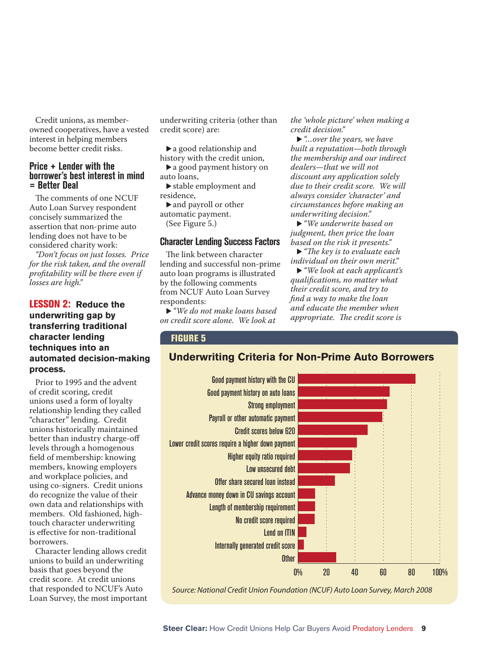Credit unions, as memberowned cooperatives, have a vested interest in helping members become better credit risks.

#### **Price + Lender with the borrower's best interest in mind = Better Deal**

The comments of one NCUF Auto Loan Survey respondent concisely summarized the assertion that non-prime auto lending does not have to be considered charity work:

*"Don't focus on just losses. Price for the risk taken, and the overall profi tability will be there even if losses are high."*

#### LESSON 2: **Reduce the underwriting gap by transferring traditional character lending techniques into an automated decision-making process.**

Prior to 1995 and the advent of credit scoring, credit unions used a form of loyalty relationship lending they called "character" lending. Credit unions historically maintained better than industry charge-off levels through a homogenous field of membership: knowing members, knowing employers and workplace policies, and using co-signers. Credit unions do recognize the value of their own data and relationships with members. Old fashioned, hightouch character underwriting is effective for non-traditional borrowers.

Character lending allows credit unions to build an underwriting basis that goes beyond the credit score. At credit unions that responded to NCUF's Auto Loan Survey, the most important underwriting criteria (other than credit score) are:

 $\blacktriangleright$  a good relationship and

history with the credit union,  $\blacktriangleright$  a good payment history on auto loans,

 $\blacktriangleright$  stable employment and residence,

 $\blacktriangleright$  and payroll or other automatic payment.

(See Figure 5.)

#### **Character Lending Success Factors**

The link between character lending and successful non-prime auto loan programs is illustrated by the following comments from NCUF Auto Loan Survey respondents:

► "We do not make loans based *on credit score alone. We look at* 

*the 'whole picture' when making a credit decision."*

▶ "*…over the years, we have built a reputation—both through the membership and our indirect dealers—that we will not discount any application solely due to their credit score. We will always consider 'character' and circumstances before making an underwriting decision."*

► "We underwrite based on *judgment, then price the loan based on the risk it presents."*

• "The key is to evaluate each" *individual on their own merit."*

u *"We look at each applicant's qualifi cations, no matter what their credit score, and try to fi nd a way to make the loan and educate the member when appropriate. The credit score is* 

#### FIGURE 5

#### **Underwriting Criteria for Non-Prime Auto Borrowers**



Source: National Credit Union Foundation (NCUF) Auto Loan Survey, March 2008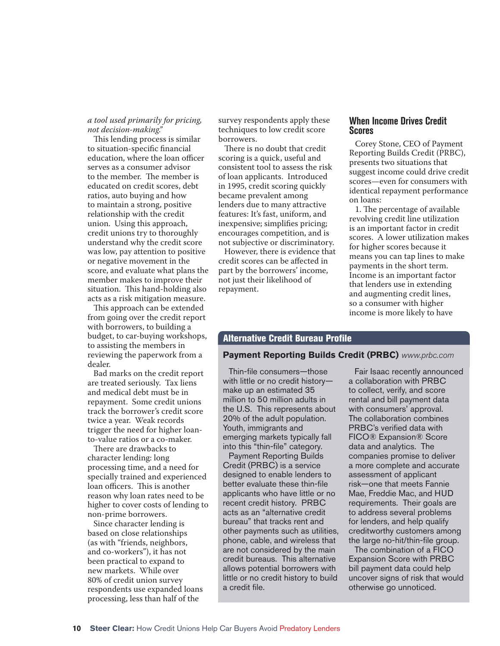#### *a tool used primarily for pricing, not decision-making."*

This lending process is similar to situation-specific financial education, where the loan officer serves as a consumer advisor to the member. The member is educated on credit scores, debt ratios, auto buying and how to maintain a strong, positive relationship with the credit union. Using this approach, credit unions try to thoroughly understand why the credit score was low, pay attention to positive or negative movement in the score, and evaluate what plans the member makes to improve their situation. This hand-holding also acts as a risk mitigation measure.

This approach can be extended from going over the credit report with borrowers, to building a budget, to car-buying workshops, to assisting the members in reviewing the paperwork from a dealer.

Bad marks on the credit report are treated seriously. Tax liens and medical debt must be in repayment. Some credit unions track the borrower's credit score twice a year. Weak records trigger the need for higher loanto-value ratios or a co-maker.

There are drawbacks to character lending: long processing time, and a need for specially trained and experienced loan officers. This is another reason why loan rates need to be higher to cover costs of lending to non-prime borrowers.

Since character lending is based on close relationships (as with "friends, neighbors, and co-workers"), it has not been practical to expand to new markets. While over 80% of credit union survey respondents use expanded loans processing, less than half of the

survey respondents apply these techniques to low credit score borrowers.

There is no doubt that credit scoring is a quick, useful and consistent tool to assess the risk of loan applicants. Introduced in 1995, credit scoring quickly became prevalent among lenders due to many attractive features: It's fast, uniform, and inexpensive; simplifies pricing; encourages competition, and is not subjective or discriminatory.

However, there is evidence that credit scores can be affected in part by the borrowers' income, not just their likelihood of repayment.

#### **When Income Drives Credit Scores**

Corey Stone, CEO of Payment Reporting Builds Credit (PRBC), presents two situations that suggest income could drive credit scores—even for consumers with identical repayment performance on loans:

1. The percentage of available revolving credit line utilization is an important factor in credit scores. A lower utilization makes for higher scores because it means you can tap lines to make payments in the short term. Income is an important factor that lenders use in extending and augmenting credit lines, so a consumer with higher income is more likely to have

#### **Alternative Credit Bureau Profile**

#### **Payment Reporting Builds Credit (PRBC)** *www.prbc.com*

Thin-file consumers-those with little or no credit history make up an estimated 35 million to 50 million adults in the U.S. This represents about 20% of the adult population. Youth, immigrants and emerging markets typically fall into this "thin-file" category.

Payment Reporting Builds Credit (PRBC) is a service designed to enable lenders to better evaluate these thin-file applicants who have little or no recent credit history. PRBC acts as an "alternative credit bureau" that tracks rent and other payments such as utilities, phone, cable, and wireless that are not considered by the main credit bureaus. This alternative allows potential borrowers with little or no credit history to build a credit file.

Fair Isaac recently announced a collaboration with PRBC to collect, verify, and score rental and bill payment data with consumers' approval. The collaboration combines PRBC's verified data with FICO® Expansion® Score data and analytics. The companies promise to deliver a more complete and accurate assessment of applicant risk —one that meets Fannie Mae, Freddie Mac, and HUD requirements. Their goals are to address several problems for lenders, and help qualify creditworthy customers among the large no-hit/thin-file group.

The combination of a FICO Expansion Score with PRBC bill payment data could help uncover signs of risk that would otherwise go unnoticed.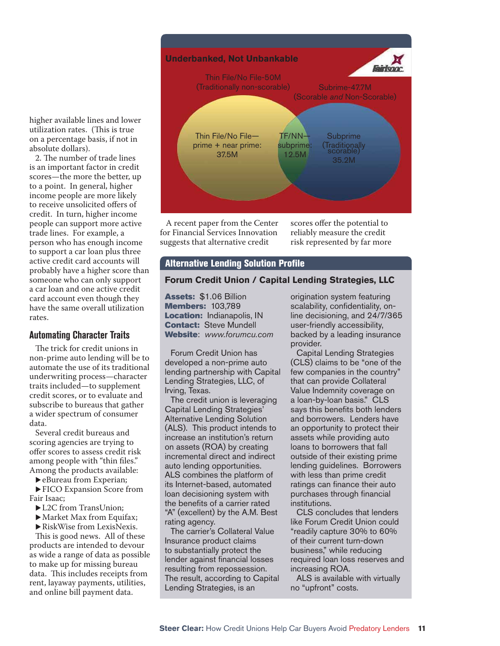higher available lines and lower utilization rates. (This is true on a percentage basis, if not in absolute dollars).

2. The number of trade lines is an important factor in credit scores—the more the better, up to a point. In general, higher income people are more likely to receive unsolicited offers of credit. In turn, higher income people can support more active trade lines. For example, a person who has enough income to support a car loan plus three active credit card accounts will probably have a higher score than someone who can only support a car loan and one active credit card account even though they have the same overall utilization rates.

#### **Automating Character Traits**

The trick for credit unions in non-prime auto lending will be to automate the use of its traditional underwriting process—character traits included—to supplement credit scores, or to evaluate and subscribe to bureaus that gather a wider spectrum of consumer data.

Several credit bureaus and scoring agencies are trying to offer scores to assess credit risk among people with "thin files." Among the products available:

 $\blacktriangleright$  eBureau from Experian;

▶ FICO Expansion Score from Fair Isaac;

- ▶ L2C from TransUnion;
- $\blacktriangleright$  Market Max from Equifax;
- $\blacktriangleright$  RiskWise from LexisNexis.

This is good news. All of these products are intended to devour as wide a range of data as possible to make up for missing bureau data. This includes receipts from rent, layaway payments, utilities, and online bill payment data.



A recent paper from the Center for Financial Services Innovation suggests that alternative credit

scores offer the potential to reliably measure the credit risk represented by far more

#### **Alternative Lending Solution Profile**

#### **Forum Credit Union / Capital Lending Strategies, LLC**

Assets: \$1.06 Billion Members: 103,789 Location: Indianapolis, IN **Contact: Steve Mundell** Website: *www.forumcu.com*

Forum Credit Union has developed a non-prime auto lending partnership with Capital Lending Strategies, LLC, of Irving, Texas.

The credit union is leveraging Capital Lending Strategies' Alternative Lending Solution (ALS). This product intends to increase an institution's return on assets (ROA) by creating incremental direct and indirect auto lending opportunities. ALS combines the platform of its Internet-based, automated loan decisioning system with the benefits of a carrier rated "A" (excellent) by the A.M. Best rating agency.

The carrier's Collateral Value Insurance product claims to substantially protect the lender against financial losses resulting from repossession. The result, according to Capital Lending Strategies, is an

origination system featuring scalability, confidentiality, online decisioning, and 24/7/365 user-friendly accessibility, backed by a leading insurance provider.

Capital Lending Strategies (CLS) claims to be "one of the few companies in the country" that can provide Collateral Value Indemnity coverage on a loan-by-loan basis." CLS says this benefits both lenders and borrowers. Lenders have an opportunity to protect their assets while providing auto loans to borrowers that fall outside of their existing prime lending guidelines. Borrowers with less than prime credit ratings can finance their auto purchases through financial institutions.

CLS concludes that lenders like Forum Credit Union could "readily capture 30% to 60% of their current turn-down business," while reducing required loan loss reserves and increasing ROA.

ALS is available with virtually no "upfront" costs.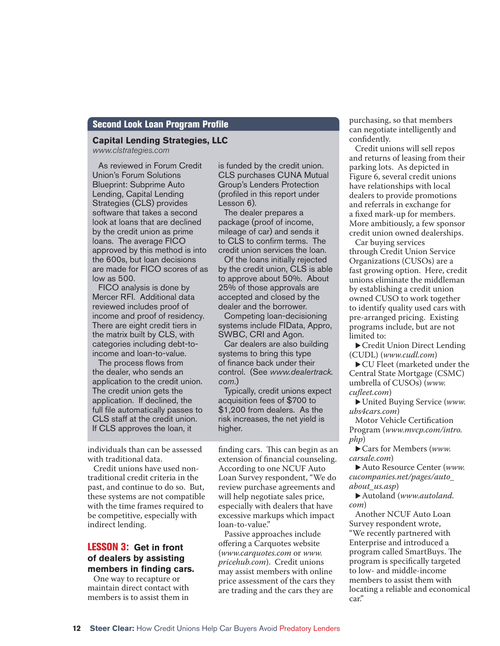#### **Second Look Loan Program Profile**

#### **Capital Lending Strategies, LLC**

*www.clstrategies.com*

As reviewed in Forum Credit Union's Forum Solutions Blueprint: Subprime Auto Lending, Capital Lending Strategies (CLS) provides software that takes a second look at loans that are declined by the credit union as prime loans. The average FICO approved by this method is into the 600s, but loan decisions are made for FICO scores of as low as 500.

FICO analysis is done by Mercer RFI. Additional data reviewed includes proof of income and proof of residency. There are eight credit tiers in the matrix built by CLS, with categories including debt-toincome and loan-to-value.

The process flows from the dealer, who sends an application to the credit union. The credit union gets the application. If declined, the full file automatically passes to CLS staff at the credit union. If CLS approves the loan, it

individuals than can be assessed with traditional data.

Credit unions have used nontraditional credit criteria in the past, and continue to do so. But, these systems are not compatible with the time frames required to be competitive, especially with indirect lending.

#### LESSON 3: **Get in front of dealers by assisting**  members in finding cars.

One way to recapture or maintain direct contact with members is to assist them in

is funded by the credit union. CLS purchases CUNA Mutual Group's Lenders Protection (profiled in this report under Lesson 6).

The dealer prepares a package (proof of income, mileage of car) and sends it to CLS to confirm terms. The credit union services the loan.

Of the loans initially rejected by the credit union, CLS is able to approve about 50%. About 25% of those approvals are accepted and closed by the dealer and the borrower.

Competing loan-decisioning systems include FIData, Appro, SWBC, CRI and Agon.

Car dealers are also building systems to bring this type of finance back under their control. (See *www.dealertrack. com*.)

Typically, credit unions expect acquisition fees of \$700 to \$1,200 from dealers. As the risk increases, the net yield is higher.

finding cars. This can begin as an extension of financial counseling. According to one NCUF Auto Loan Survey respondent, "We do review purchase agreements and will help negotiate sales price, especially with dealers that have excessive markups which impact loan-to-value."

Passive approaches include offering a Carquotes website (*www.carquotes.com* or *www. pricehub.com*). Credit unions may assist members with online price assessment of the cars they are trading and the cars they are

purchasing, so that members can negotiate intelligently and confidently.

Credit unions will sell repos and returns of leasing from their parking lots. As depicted in Figure 6, several credit unions have relationships with local dealers to provide promotions and referrals in exchange for a fixed mark-up for members. More ambitiously, a few sponsor credit union owned dealerships.

Car buying services through Credit Union Service Organizations (CUSOs) are a fast growing option. Here, credit unions eliminate the middleman by establishing a credit union owned CUSO to work together to identify quality used cars with pre-arranged pricing. Existing programs include, but are not limited to:

▶ Credit Union Direct Lending (CUDL) (*www.cudl.com*)

▶ CU Fleet (marketed under the Central State Mortgage (CSMC) umbrella of CUSOs) (*www. cufl eet.com*)

United Buying Service (*www.*) *ubs4cars.com*)

Motor Vehicle Certification Program (*www.mvcp.com/intro. php*)

Cars for Members (*www.*) *carsale.com*)

Auto Resource Center (*www.*) *cucompanies.net/pages/auto\_ about\_us.asp*)

▶ Autoland (*www.autoland. com*)

Another NCUF Auto Loan Survey respondent wrote, "We recently partnered with Enterprise and introduced a program called SmartBuys. The program is specifically targeted to low- and middle-income members to assist them with locating a reliable and economical car."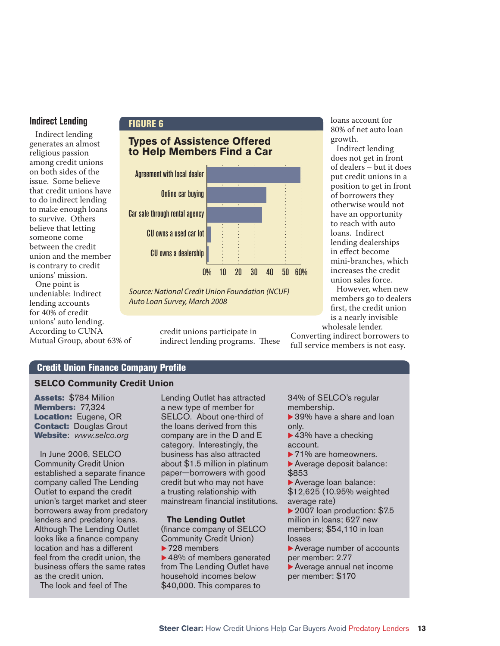#### **Indirect Lending**

Indirect lending generates an almost religious passion among credit unions on both sides of the issue. Some believe that credit unions have to do indirect lending to make enough loans to survive. Others believe that letting someone come between the credit union and the member is contrary to credit unions' mission.

One point is undeniable: Indirect lending accounts for 40% of credit unions' auto lending. According to CUNA Mutual Group, about 63% of

#### FIGURE 6

#### **Types of Assistence Offered to Help Members Find a Car**



Source: National Credit Union Foundation (NCUF) Auto Loan Survey, March 2008

> credit unions participate in indirect lending programs. These

loans account for 80% of net auto loan growth.

Indirect lending does not get in front of dealers – but it does put credit unions in a position to get in front of borrowers they otherwise would not have an opportunity to reach with auto loans. Indirect lending dealerships in effect become mini-branches, which increases the credit union sales force.

However, when new members go to dealers first, the credit union is a nearly invisible wholesale lender.

Converting indirect borrowers to full service members is not easy.

#### **Credit Union Finance Company Profile**

#### **SELCO Community Credit Union**

Assets: \$784 Million **Members: 77,324** Location: Eugene, OR **Contact: Douglas Grout** Website: *www.selco.org*

In June 2006, SELCO Community Credit Union established a separate finance company called The Lending Outlet to expand the credit union's target market and steer borrowers away from predatory lenders and predatory loans. Although The Lending Outlet looks like a finance company location and has a different feel from the credit union, the business offers the same rates as the credit union.

The look and feel of The

Lending Outlet has attracted a new type of member for SELCO. About one-third of the loans derived from this company are in the D and E category. Interestingly, the business has also attracted about \$1.5 million in platinum paper—borrowers with good credit but who may not have a trusting relationship with mainstream financial institutions.

#### **The Lending Outlet**

(finance company of SELCO Community Credit Union)  $\blacktriangleright$  728 members  $\blacktriangleright$  48% of members generated from The Lending Outlet have

household incomes below \$40,000. This compares to 34% of SELCO's regular membership.

- $\blacktriangleright$  39% have a share and loan only.
- $\blacktriangleright$  43% have a checking account.
- $\blacktriangleright$  71% are homeowners.

 $\blacktriangleright$  Average deposit balance: \$853

 $\blacktriangleright$  Average loan balance: \$12,625 (10.95% weighted average rate)

 $\blacktriangleright$  2007 loan production: \$7.5 million in loans; 627 new members; \$54,110 in loan losses

 $\blacktriangleright$  Average number of accounts per member: 2.77

 $\blacktriangleright$  Average annual net income per member: \$170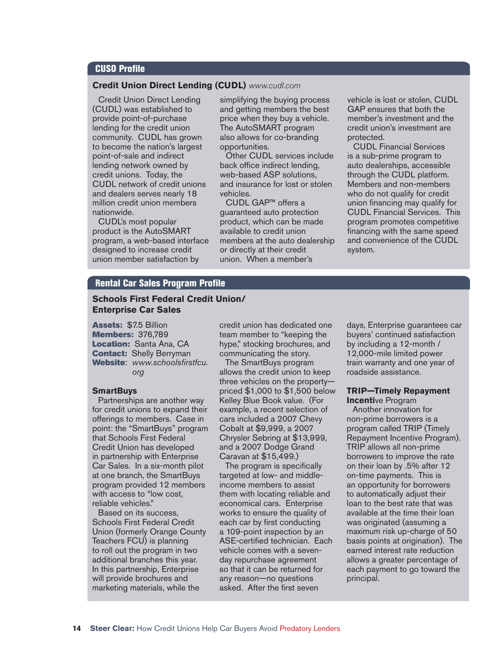#### **CUSO Profile**

#### **Credit Union Direct Lending (CUDL)** *www.cudl.com*

Credit Union Direct Lending (CUDL) was established to provide point-of-purchase lending for the credit union community. CUDL has grown to become the nation's largest point-of-sale and indirect lending network owned by credit unions. Today, the CUDL network of credit unions and dealers serves nearly 18 million credit union members nationwide.

CUDL's most popular product is the AutoSMART program, a web-based interface designed to increase credit union member satisfaction by

simplifying the buying process and getting members the best price when they buy a vehicle. The AutoSMART program also allows for co-branding opportunities.

Other CUDL services include back office indirect lending, web-based ASP solutions, and insurance for lost or stolen vehicles.

CUDL GAP™ offers a guaranteed auto protection product, which can be made available to credit union members at the auto dealership or directly at their credit union. When a member's

vehicle is lost or stolen, CUDL GAP ensures that both the member's investment and the credit union's investment are protected.

CUDL Financial Services is a sub-prime program to auto dealerships, accessible through the CUDL platform. Members and non-members who do not qualify for credit union financing may qualify for CUDL Financial Services. This program promotes competitive financing with the same speed and convenience of the CUDL system.

#### **Rental Car Sales Program Profile**

#### **Schools First Federal Credit Union/ Enterprise Car Sales**

Assets: \$7.5 Billion Members: 376,789 Location: Santa Ana, CA **Contact: Shelly Berryman** Website: www.schoolsfirstfcu. *org*

#### **SmartBuys**

Partnerships are another way for credit unions to expand their offerings to members. Case in point: the "SmartBuys" program that Schools First Federal Credit Union has developed in partnership with Enterprise Car Sales. In a six-month pilot at one branch, the SmartBuys program provided 12 members with access to "low cost, reliable vehicles."

Based on its success, Schools First Federal Credit Union (formerly Orange County Teachers FCU) is planning to roll out the program in two additional branches this year. In this partnership, Enterprise will provide brochures and marketing materials, while the

credit union has dedicated one team member to "keeping the hype," stocking brochures, and communicating the story.

The SmartBuys program allows the credit union to keep three vehicles on the property priced \$1,000 to \$1,500 below Kelley Blue Book value. (For example, a recent selection of cars included a 2007 Chevy Cobalt at \$9,999, a 2007 Chrysler Sebring at \$13,999, and a 2007 Dodge Grand Caravan at \$15,499.)

The program is specifically targeted at low- and middleincome members to assist them with locating reliable and economical cars. Enterprise works to ensure the quality of each car by first conducting a 109-point inspection by an ASE-certified technician. Each vehicle comes with a sevenday repurchase agreement so that it can be returned for any reason—no questions asked. After the first seven

days, Enterprise guarantees car buyers' continued satisfaction by including a 12-month / 12,000-mile limited power train warranty and one year of roadside assistance.

#### **TRIP—Timely Repayment Incenti**ve Program

Another innovation for non-prime borrowers is a program called TRIP (Timely Repayment Incentive Program). TRIP allows all non-prime borrowers to improve the rate on their loan by .5% after 12 on-time payments. This is an opportunity for borrowers to automatically adjust their loan to the best rate that was available at the time their loan was originated (assuming a maximum risk up-charge of 50 basis points at origination). The earned interest rate reduction allows a greater percentage of each payment to go toward the principal.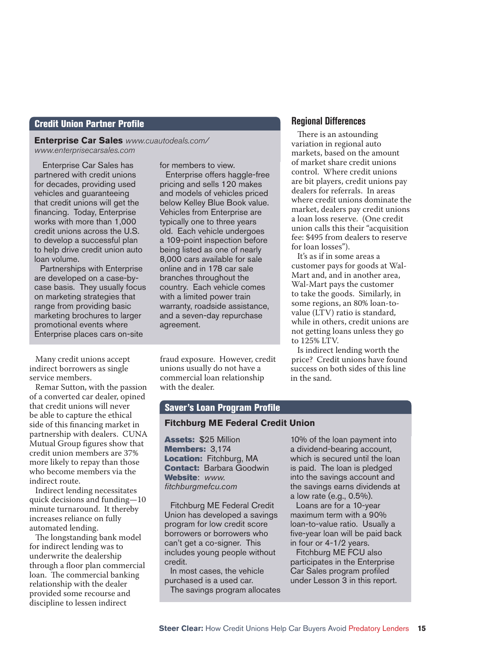#### **Credit Union Partner Profile**

**Enterprise Car Sales** *www.cuautodeals.com/ www.enterprisecarsales.com*

 Enterprise Car Sales has partnered with credit unions for decades, providing used vehicles and guaranteeing that credit unions will get the financing. Today, Enterprise works with more than 1,000 credit unions across the U.S. to develop a successful plan to help drive credit union auto loan volume.

Partnerships with Enterprise are developed on a case-bycase basis. They usually focus on marketing strategies that range from providing basic marketing brochures to larger promotional events where Enterprise places cars on-site

Many credit unions accept indirect borrowers as single service members.

Remar Sutton, with the passion of a converted car dealer, opined that credit unions will never be able to capture the ethical side of this financing market in partnership with dealers. CUNA Mutual Group figures show that credit union members are 37% more likely to repay than those who become members via the indirect route.

Indirect lending necessitates quick decisions and funding—10 minute turnaround. It thereby increases reliance on fully automated lending.

The longstanding bank model for indirect lending was to underwrite the dealership through a floor plan commercial loan. The commercial banking relationship with the dealer provided some recourse and discipline to lessen indirect

for members to view.

Enterprise offers haggle-free pricing and sells 120 makes and models of vehicles priced below Kelley Blue Book value. Vehicles from Enterprise are typically one to three years old. Each vehicle undergoes a 109-point inspection before being listed as one of nearly 8,000 cars available for sale online and in 178 car sale branches throughout the country. Each vehicle comes with a limited power train warranty, roadside assistance, and a seven-day repurchase agreement.

fraud exposure. However, credit unions usually do not have a commercial loan relationship with the dealer.

#### **Regional Differences**

There is an astounding variation in regional auto markets, based on the amount of market share credit unions control. Where credit unions are bit players, credit unions pay dealers for referrals. In areas where credit unions dominate the market, dealers pay credit unions a loan loss reserve. (One credit union calls this their "acquisition fee: \$495 from dealers to reserve for loan losses").

It's as if in some areas a customer pays for goods at Wal-Mart and, and in another area, Wal-Mart pays the customer to take the goods. Similarly, in some regions, an 80% loan-tovalue (LTV) ratio is standard, while in others, credit unions are not getting loans unless they go to 125% LTV.

Is indirect lending worth the price? Credit unions have found success on both sides of this line in the sand.

#### Saver's Loan Program Profile

#### **Fitchburg ME Federal Credit Union**

Assets: \$25 Million Members: 3,174 Location: Fitchburg, MA **Contact: Barbara Goodwin** Website: *www. fi tchburgmefcu.com*

Fitchburg ME Federal Credit Union has developed a savings program for low credit score borrowers or borrowers who can't get a co-signer. This includes young people without credit.

In most cases, the vehicle purchased is a used car. The savings program allocates

10% of the loan payment into a dividend-bearing account, which is secured until the loan is paid. The loan is pledged into the savings account and the savings earns dividends at a low rate (e.g., 0.5%).

Loans are for a 10-year maximum term with a 90% loan-to-value ratio. Usually a five-year loan will be paid back in four or 4-1/2 years.

Fitchburg ME FCU also participates in the Enterprise Car Sales program profiled under Lesson 3 in this report.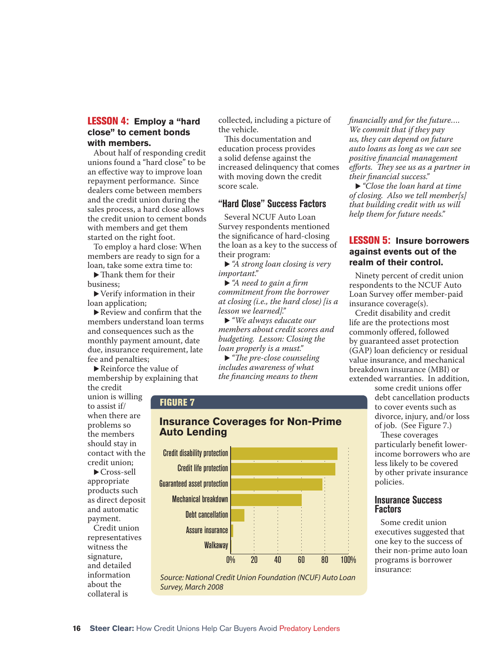#### LESSON 4: **Employ a "hard close" to cement bonds with members.**

About half of responding credit unions found a "hard close" to be an effective way to improve loan repayment performance. Since dealers come between members and the credit union during the sales process, a hard close allows the credit union to cement bonds with members and get them started on the right foot.

To employ a hard close: When members are ready to sign for a loan, take some extra time to:

 $\blacktriangleright$  Thank them for their business;

 $\blacktriangleright$  Verify information in their loan application;

 $\blacktriangleright$  Review and confirm that the members understand loan terms and consequences such as the monthly payment amount, date due, insurance requirement, late fee and penalties;

 $\blacktriangleright$  Reinforce the value of membership by explaining that the credit

union is willing to assist if/ when there are problems so the members should stay in contact with the credit union;

 $\blacktriangleright$  Cross-sell appropriate products such as direct deposit and automatic payment.

Credit union representatives witness the signature, and detailed information about the collateral is

collected, including a picture of the vehicle.

This documentation and education process provides a solid defense against the increased delinquency that comes with moving down the credit score scale.

#### **"Hard Close" Success Factors**

Several NCUF Auto Loan Survey respondents mentioned the significance of hard-closing the loan as a key to the success of their program:

▶ *"A strong loan closing is very important."*

▶ "A need to gain a firm *commitment from the borrower at closing (i.e., the hard close) [is a lesson we learned]."*

▶ "*We always educate our members about credit scores and budgeting. Lesson: Closing the loan properly is a must."*

• "The pre-close counseling" *includes awareness of what the financing means to them* 

#### FIGURE 7

#### **Insurance Coverages for Non-Prime Auto Lending**



Source: National Credit Union Foundation (NCUF) Auto Loan Survey, March 2008

*fi nancially and for the future…. We commit that if they pay us, they can depend on future auto loans as long as we can see positive fi nancial management eff orts. Th ey see us as a partner in their fi nancial success."*

u *"Close the loan hard at time of closing. Also we tell member[s] that building credit with us will help them for future needs."*

#### LESSON 5: **Insure borrowers against events out of the realm of their control.**

Ninety percent of credit union respondents to the NCUF Auto Loan Survey offer member-paid insurance coverage(s).

Credit disability and credit life are the protections most commonly offered, followed by guaranteed asset protection (GAP) loan deficiency or residual value insurance, and mechanical breakdown insurance (MBI) or extended warranties. In addition,

> some credit unions offer debt cancellation products to cover events such as divorce, injury, and/or loss of job. (See Figure 7.)

These coverages particularly benefit lowerincome borrowers who are less likely to be covered by other private insurance policies.

#### **Insurance Success Factors**

Some credit union executives suggested that one key to the success of their non-prime auto loan programs is borrower insurance: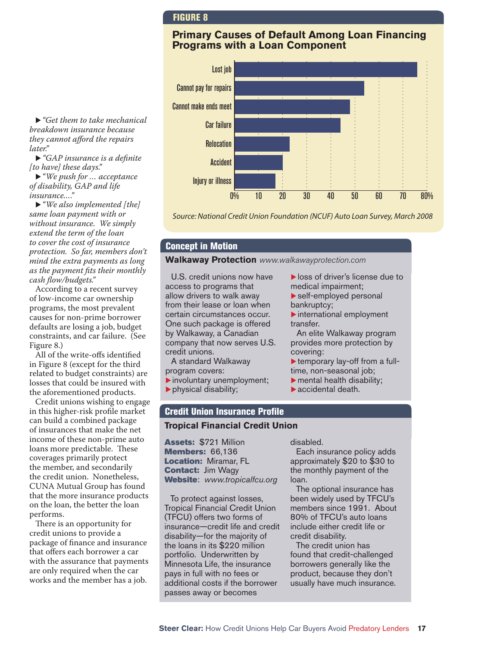#### FIGURE 8

#### **Primary Causes of Default Among Loan Financing Programs with a Loan Component**



*breakdown insurance because they cannot afford the repairs later."* ▶ "GAP insurance is a definite"

► "*Get them to take mechanical* 

*[to have] these days."* ▶ "We push for ... acceptance

*of disability, GAP and life insurance.…"*

▶ "*We also implemented [the] same loan payment with or without insurance. We simply extend the term of the loan to cover the cost of insurance protection. So far, members don't mind the extra payments as long as the payment fits their monthly cash flow/budgets."* 

According to a recent survey of low-income car ownership programs, the most prevalent causes for non-prime borrower defaults are losing a job, budget constraints, and car failure. (See Figure 8.)

All of the write-offs identified in Figure 8 (except for the third related to budget constraints) are losses that could be insured with the aforementioned products.

Credit unions wishing to engage in this higher-risk profile market can build a combined package of insurances that make the net income of these non-prime auto loans more predictable. These coverages primarily protect the member, and secondarily the credit union. Nonetheless, CUNA Mutual Group has found that the more insurance products on the loan, the better the loan performs.

There is an opportunity for credit unions to provide a package of finance and insurance that offers each borrower a car with the assurance that payments are only required when the car works and the member has a job.

Source: National Credit Union Foundation (NCUF) Auto Loan Survey, March 2008

#### Concept in Motion

program covers:

 $\blacktriangleright$  physical disability;

**Walkaway Protection** *www.walkawayprotection.com*

U.S. credit unions now have access to programs that allow drivers to walk away from their lease or loan when certain circumstances occur. One such package is offered by Walkaway, a Canadian company that now serves U.S. credit unions. A standard Walkaway

 $\blacktriangleright$  involuntary unemployment;

- $\blacktriangleright$  loss of driver's license due to medical impairment;
- $\blacktriangleright$  self-employed personal bankruptcy;
- $\blacktriangleright$  international employment transfer.

An elite Walkaway program provides more protection by covering:

- $\blacktriangleright$  temporary lay-off from a fulltime, non-seasonal job;
- $\blacktriangleright$  mental health disability;
- $\blacktriangleright$  accidental death.

#### **Credit Union Insurance Profile**

#### **Tropical Financial Credit Union**

Assets: \$721 Million Members: 66,136 Location: Miramar, FL **Contact: Jim Wagy** Website: *www.tropicalfcu.org*

To protect against losses, Tropical Financial Credit Union (TFCU) offers two forms of insurance—credit life and credit disability—for the majority of the loans in its \$220 million portfolio. Underwritten by Minnesota Life, the insurance pays in full with no fees or additional costs if the borrower passes away or becomes

disabled.

Each insurance policy adds approximately \$20 to \$30 to the monthly payment of the loan.

The optional insurance has been widely used by TFCU's members since 1991. About 80% of TFCU's auto loans include either credit life or credit disability.

The credit union has found that credit-challenged borrowers generally like the product, because they don't usually have much insurance.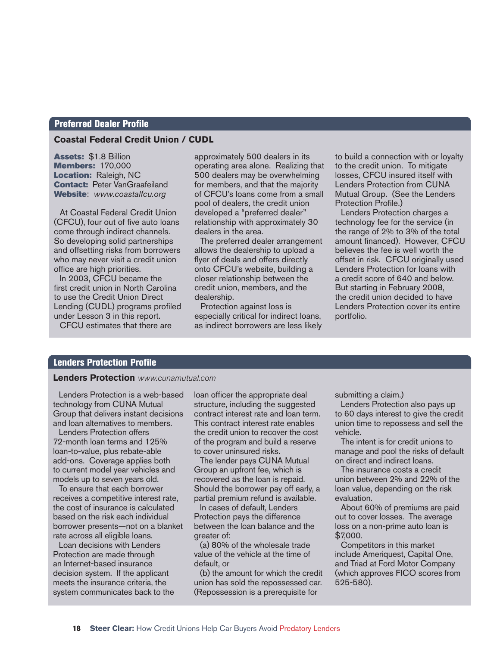#### **Preferred Dealer Profile**

#### **Coastal Federal Credit Union / CUDL**

Assets: \$1.8 Billion Members: 170,000 Location: Raleigh, NC **Contact: Peter VanGraafeiland** Website: *www.coastalfcu.org*

At Coastal Federal Credit Union (CFCU), four out of five auto loans come through indirect channels. So developing solid partnerships and offsetting risks from borrowers who may never visit a credit union office are high priorities.

In 2003, CFCU became the first credit union in North Carolina to use the Credit Union Direct Lending (CUDL) programs profiled under Lesson 3 in this report. CFCU estimates that there are

approximately 500 dealers in its operating area alone. Realizing that 500 dealers may be overwhelming for members, and that the majority of CFCU's loans come from a small pool of dealers, the credit union developed a "preferred dealer" relationship with approximately 30 dealers in the area.

The preferred dealer arrangement allows the dealership to upload a flyer of deals and offers directly onto CFCU's website, building a closer relationship between the credit union, members, and the dealership.

Protection against loss is especially critical for indirect loans, as indirect borrowers are less likely to build a connection with or loyalty to the credit union. To mitigate losses, CFCU insured itself with Lenders Protection from CUNA Mutual Group. (See the Lenders Protection Profile.)

Lenders Protection charges a technology fee for the service (in the range of 2% to 3% of the total amount financed). However, CFCU believes the fee is well worth the offset in risk. CFCU originally used Lenders Protection for loans with a credit score of 640 and below. But starting in February 2008, the credit union decided to have Lenders Protection cover its entire portfolio.

#### **Lenders Protection Profile**

#### **Lenders Protection** *www.cunamutual.com*

Lenders Protection is a web-based technology from CUNA Mutual Group that delivers instant decisions and loan alternatives to members.

Lenders Protection offers 72-month loan terms and 125% loan-to-value, plus rebate-able add-ons. Coverage applies both to current model year vehicles and models up to seven years old.

To ensure that each borrower receives a competitive interest rate, the cost of insurance is calculated based on the risk each individual borrower presents—not on a blanket rate across all eligible loans.

Loan decisions with Lenders Protection are made through an Internet-based insurance decision system. If the applicant meets the insurance criteria, the system communicates back to the loan officer the appropriate deal structure, including the suggested contract interest rate and loan term. This contract interest rate enables the credit union to recover the cost of the program and build a reserve to cover uninsured risks.

The lender pays CUNA Mutual Group an upfront fee, which is recovered as the loan is repaid. Should the borrower pay off early, a partial premium refund is available.

In cases of default, Lenders Protection pays the difference between the loan balance and the greater of:

(a) 80% of the wholesale trade value of the vehicle at the time of default, or

(b) the amount for which the credit union has sold the repossessed car. (Repossession is a prerequisite for

submitting a claim.)

Lenders Protection also pays up to 60 days interest to give the credit union time to repossess and sell the vehicle.

The intent is for credit unions to manage and pool the risks of default on direct and indirect loans.

The insurance costs a credit union between 2% and 22% of the loan value, depending on the risk evaluation.

About 60% of premiums are paid out to cover losses. The average loss on a non-prime auto loan is \$7,000.

Competitors in this market include Ameriquest, Capital One, and Triad at Ford Motor Company (which approves FICO scores from 525-580).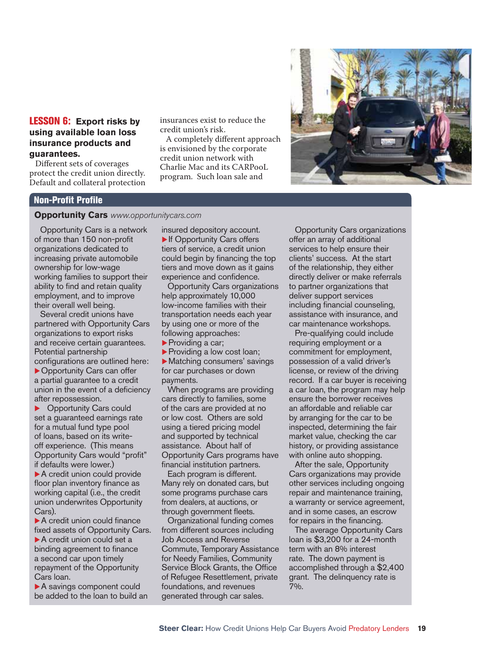#### LESSON 6: **Export risks by using available loan loss insurance products and guarantees.**

Different sets of coverages protect the credit union directly. Default and collateral protection insurances exist to reduce the credit union's risk.

A completely different approach is envisioned by the corporate credit union network with Charlie Mac and its CARPooL program. Such loan sale and



#### **Non-Profit Profile**

#### **Opportunity Cars** *www.opportunitycars.com*

Opportunity Cars is a network of more than 150 non-profit organizations dedicated to increasing private automobile ownership for low-wage working families to support their ability to find and retain quality employment, and to improve their overall well being.

Several credit unions have partnered with Opportunity Cars organizations to export risks and receive certain guarantees. Potential partnership configurations are outlined here:  $\triangleright$  Opportunity Cars can offer a partial guarantee to a credit union in the event of a deficiency after repossession.

**Opportunity Cars could** set a guaranteed earnings rate for a mutual fund type pool of loans, based on its writeoff experience. (This means Opportunity Cars would "profit" if defaults were lower.)

 $\blacktriangleright$  A credit union could provide floor plan inventory finance as working capital (i.e., the credit union underwrites Opportunity Cars).

 $\blacktriangleright$  A credit union could finance fixed assets of Opportunity Cars.  $\blacktriangleright$  A credit union could set a binding agreement to finance a second car upon timely repayment of the Opportunity Cars loan.

 $\blacktriangleright$  A savings component could be added to the loan to build an insured depository account.  $\blacktriangleright$  If Opportunity Cars offers tiers of service, a credit union could begin by financing the top tiers and move down as it gains experience and confidence.

Opportunity Cars organizations help approximately 10,000 low-income families with their transportation needs each year by using one or more of the following approaches:

 $\blacktriangleright$  Providing a car;

Providing a low cost loan;

 $\blacktriangleright$  Matching consumers' savings for car purchases or down payments.

When programs are providing cars directly to families, some of the cars are provided at no or low cost. Others are sold using a tiered pricing model and supported by technical assistance. About half of Opportunity Cars programs have financial institution partners.

Each program is different. Many rely on donated cars, but some programs purchase cars from dealers, at auctions, or through government fleets.

Organizational funding comes from different sources including Job Access and Reverse Commute, Temporary Assistance for Needy Families, Community Service Block Grants, the Office of Refugee Resettlement, private foundations, and revenues generated through car sales.

Opportunity Cars organizations offer an array of additional services to help ensure their clients' success. At the start of the relationship, they either directly deliver or make referrals to partner organizations that deliver support services including financial counseling, assistance with insurance, and car maintenance workshops.

Pre-qualifying could include requiring employment or a commitment for employment, possession of a valid driver's license, or review of the driving record. If a car buyer is receiving a car loan, the program may help ensure the borrower receives an affordable and reliable car by arranging for the car to be inspected, determining the fair market value, checking the car history, or providing assistance with online auto shopping.

After the sale, Opportunity Cars organizations may provide other services including ongoing repair and maintenance training, a warranty or service agreement, and in some cases, an escrow for repairs in the financing.

The average Opportunity Cars loan is \$3,200 for a 24-month term with an 8% interest rate. The down payment is accomplished through a \$2,400 grant. The delinquency rate is 7%.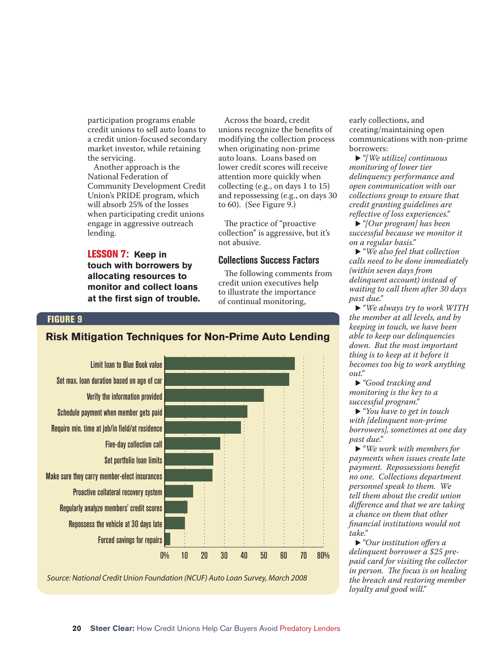participation programs enable credit unions to sell auto loans to a credit union-focused secondary market investor, while retaining the servicing.

Another approach is the National Federation of Community Development Credit Union's PRIDE program, which will absorb 25% of the losses when participating credit unions engage in aggressive outreach lending.

LESSON 7: **Keep in touch with borrowers by allocating resources to monitor and collect loans**  at the first sign of trouble.

Across the board, credit unions recognize the benefits of modifying the collection process when originating non-prime auto loans. Loans based on lower credit scores will receive attention more quickly when collecting (e.g., on days 1 to 15) and repossessing (e.g., on days 30 to 60). (See Figure 9.)

The practice of "proactive" collection" is aggressive, but it's not abusive.

#### **Collections Success Factors**

The following comments from credit union executives help to illustrate the importance of continual monitoring,

#### FIGURE 9



Source: National Credit Union Foundation (NCUF) Auto Loan Survey, March 2008

early collections, and creating/maintaining open communications with non-prime borrowers:

▶ "*[We utilize] continuous monitoring of lower tier delinquency performance and open communication with our collections group to ensure that credit granting guidelines are refl ective of loss experiences."*

u *"[Our program] has been successful because we monitor it on a regular basis."*

▶ "We also feel that collection *calls need to be done immediately (within seven days from delinquent account) instead of waiting to call them after 30 days past due."*

► "We always try to work WITH" *the member at all levels, and by keeping in touch, we have been able to keep our delinquencies down. But the most important thing is to keep at it before it becomes too big to work anything out."*

▶ "Good tracking and *monitoring is the key to a successful program."*

▶ "You have to get in touch" *with [delinquent non-prime borrowers], sometimes at one day past due."*

▶ "*We work with members for payments when issues create late*   $p$ *ayment. Repossessions benefit no one. Collections department personnel speak to them. We tell them about the credit union diff erence and that we are taking a chance on them that other fi nancial institutions would not take."*

▶ "Our institution offers a *delinquent borrower a \$25 prepaid card for visiting the collector in person. The focus is on healing the breach and restoring member loyalty and good will."*

### **Risk Mitigation Techniques for Non-Prime Auto Lending**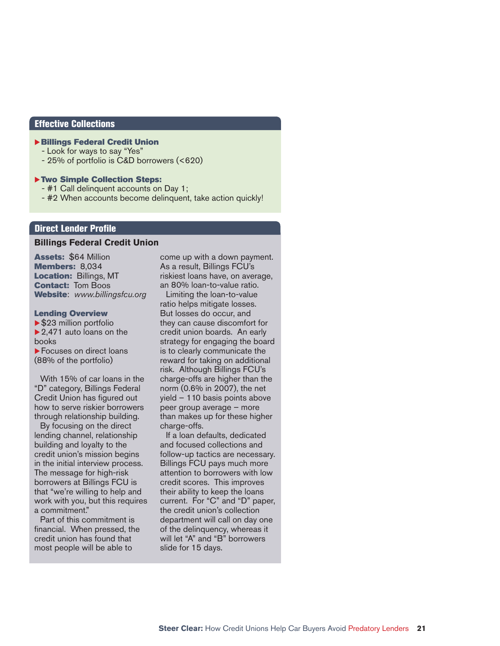#### Effective Collections

#### **Billings Federal Credit Union**

- Look for ways to say "Yes"
- 25% of portfolio is C&D borrowers (<620)

#### Two Simple Collection Steps:

- #1 Call delinquent accounts on Day 1;
- #2 When accounts become delinquent, take action quickly!

#### **Direct Lender Profile**

#### **Billings Federal Credit Union**

Assets: \$64 Million Members: 8.034 Location: Billings, MT **Contact: Tom Boos** Website: *www.billingsfcu.org*

#### Lending Overview

 $\blacktriangleright$  \$23 million portfolio  $\blacktriangleright$  2,471 auto loans on the books **Focuses on direct loans** (88% of the portfolio)

With 15% of car loans in the "D" category, Billings Federal Credit Union has figured out how to serve riskier borrowers through relationship building.

By focusing on the direct lending channel, relationship building and loyalty to the credit union's mission begins in the initial interview process. The message for high-risk borrowers at Billings FCU is that "we're willing to help and work with you, but this requires a commitment."

Part of this commitment is financial. When pressed, the credit union has found that most people will be able to

come up with a down payment. As a result, Billings FCU's riskiest loans have, on average, an 80% loan-to-value ratio.

Limiting the loan-to-value ratio helps mitigate losses. But losses do occur, and they can cause discomfort for credit union boards. An early strategy for engaging the board is to clearly communicate the reward for taking on additional risk. Although Billings FCU's charge-offs are higher than the norm (0.6% in 2007), the net yield – 110 basis points above peer group average – more than makes up for these higher charge-offs.

If a loan defaults, dedicated and focused collections and follow-up tactics are necessary. Billings FCU pays much more attention to borrowers with low credit scores. This improves their ability to keep the loans current. For "C" and "D" paper, the credit union's collection department will call on day one of the delinquency, whereas it will let "A" and "B" borrowers slide for 15 days.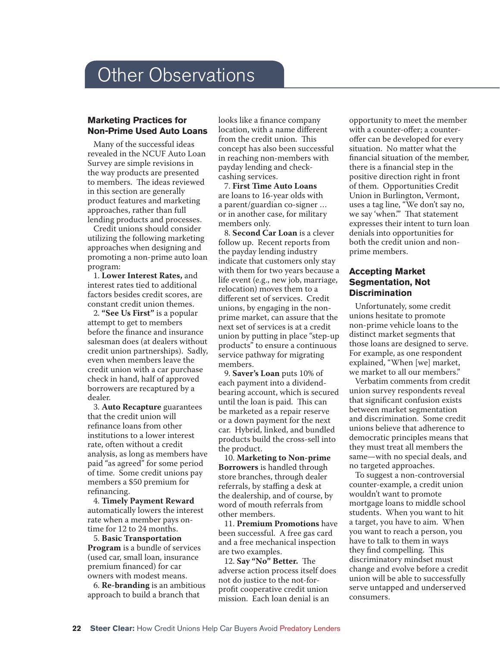### **Other Observations**

#### **Marketing Practices for Non-Prime Used Auto Loans**

Many of the successful ideas revealed in the NCUF Auto Loan Survey are simple revisions in the way products are presented to members. The ideas reviewed in this section are generally product features and marketing approaches, rather than full lending products and processes.

Credit unions should consider utilizing the following marketing approaches when designing and promoting a non-prime auto loan program:

1. **Lower Interest Rates,** and interest rates tied to additional factors besides credit scores, are constant credit union themes.

2. **"See Us First"** is a popular attempt to get to members before the finance and insurance salesman does (at dealers without credit union partnerships). Sadly, even when members leave the credit union with a car purchase check in hand, half of approved borrowers are recaptured by a dealer.

3. **Auto Recapture** guarantees that the credit union will refinance loans from other institutions to a lower interest rate, often without a credit analysis, as long as members have paid "as agreed" for some period of time. Some credit unions pay members a \$50 premium for refinancing.

4. **Timely Payment Reward** automatically lowers the interest rate when a member pays ontime for 12 to 24 months.

5. **Basic Transportation Program** is a bundle of services (used car, small loan, insurance premium financed) for car owners with modest means.

6. **Re-branding** is an ambitious approach to build a branch that

looks like a finance company location, with a name different from the credit union. This concept has also been successful in reaching non-members with payday lending and checkcashing services.

7. **First Time Auto Loans** are loans to 16-year olds with a parent/guardian co-signer … or in another case, for military members only.

8. **Second Car Loan** is a clever follow up. Recent reports from the payday lending industry indicate that customers only stay with them for two years because a life event (e.g., new job, marriage, relocation) moves them to a different set of services. Credit unions, by engaging in the nonprime market, can assure that the next set of services is at a credit union by putting in place "step-up products" to ensure a continuous service pathway for migrating members.

9. **Saver's Loan** puts 10% of each payment into a dividendbearing account, which is secured until the loan is paid. This can be marketed as a repair reserve or a down payment for the next car. Hybrid, linked, and bundled products build the cross-sell into the product.

10. **Marketing to Non-prime Borrowers** is handled through store branches, through dealer referrals, by staffing a desk at the dealership, and of course, by word of mouth referrals from other members.

11. **Premium Promotions** have been successful. A free gas card and a free mechanical inspection are two examples.

12. Say "No" Better. The adverse action process itself does not do justice to the not-forprofit cooperative credit union mission. Each loan denial is an

opportunity to meet the member with a counter-offer; a counteroffer can be developed for every situation. No matter what the financial situation of the member, there is a financial step in the positive direction right in front of them. Opportunities Credit Union in Burlington, Vermont, uses a tag line, "We don't say no, we say 'when." That statement expresses their intent to turn loan denials into opportunities for both the credit union and nonprime members.

#### **Accepting Market Segmentation, Not Discrimination**

Unfortunately, some credit unions hesitate to promote non-prime vehicle loans to the distinct market segments that those loans are designed to serve. For example, as one respondent explained, "When [we] market, we market to all our members."

Verbatim comments from credit union survey respondents reveal that significant confusion exists between market segmentation and discrimination. Some credit unions believe that adherence to democratic principles means that they must treat all members the same—with no special deals, and no targeted approaches.

To suggest a non-controversial counter-example, a credit union wouldn't want to promote mortgage loans to middle school students. When you want to hit a target, you have to aim. When you want to reach a person, you have to talk to them in ways they find compelling. This discriminatory mindset must change and evolve before a credit union will be able to successfully serve untapped and underserved consumers.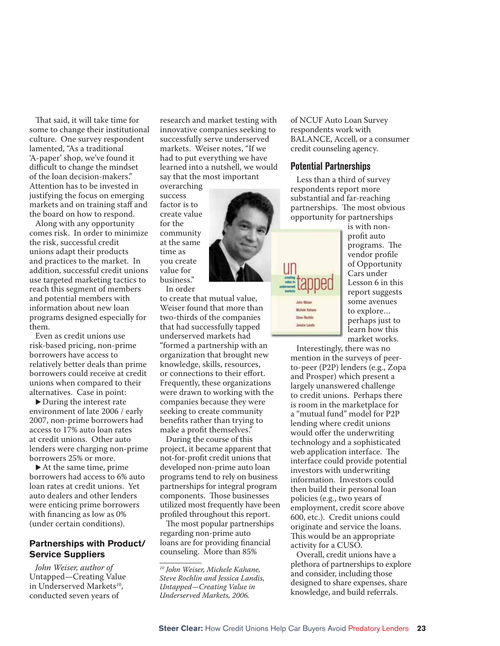That said, it will take time for some to change their institutional culture. One survey respondent lamented, "As a traditional 'A-paper' shop, we've found it difficult to change the mindset of the loan decision-makers." Attention has to be invested in justifying the focus on emerging markets and on training staff and the board on how to respond.

Along with any opportunity comes risk. In order to minimize the risk, successful credit unions adapt their products and practices to the market. In addition, successful credit unions use targeted marketing tactics to reach this segment of members and potential members with information about new loan programs designed especially for them.

Even as credit unions use risk-based pricing, non-prime borrowers have access to relatively better deals than prime borrowers could receive at credit unions when compared to their alternatives. Case in point:

 $\blacktriangleright$  During the interest rate environment of late 2006 / early 2007, non-prime borrowers had access to 17% auto loan rates at credit unions. Other auto lenders were charging non-prime borrowers 25% or more.

 $\blacktriangleright$  At the same time, prime borrowers had access to 6% auto loan rates at credit unions. Yet auto dealers and other lenders were enticing prime borrowers with financing as low as  $0\%$ (under certain conditions).

#### **Partnerships with Product/ Service Suppliers**

*John Weiser, author of*  Untapped—Creating Value in Underserved Markets*<sup>1</sup>*<sup>0</sup> , conducted seven years of

research and market testing with innovative companies seeking to successfully serve underserved markets. Weiser notes, "If we had to put everything we have learned into a nutshell, we would say that the most important

overarching success factor is to create value for the community at the same time as you create value for business." In order

to create that mutual value, Weiser found that more than two-thirds of the companies that had successfully tapped underserved markets had "formed a partnership with an organization that brought new knowledge, skills, resources, or connections to their effort. Frequently, these organizations were drawn to working with the companies because they were seeking to create community benefits rather than trying to make a profit themselves."

During the course of this project, it became apparent that not-for-profit credit unions that developed non-prime auto loan programs tend to rely on business partnerships for integral program components. Those businesses utilized most frequently have been profiled throughout this report.

The most popular partnerships regarding non-prime auto loans are for providing financial counseling. More than 85%

*10 John Weiser, Michele Kahane, Steve Rochlin and Jessica Landis, Untapped—Creating Value in Underserved Markets, 2006.*

of NCUF Auto Loan Survey respondents work with BALANCE, Accell, or a consumer credit counseling agency.

#### **Potential Partnerships**

Less than a third of survey respondents report more substantial and far-reaching partnerships. The most obvious opportunity for partnerships

> is with nonprofit auto programs. The vendor profile of Opportunity Cars under Lesson 6 in this report suggests some avenues to explore… perhaps just to learn how this market works.

Interestingly, there was no mention in the surveys of peerto-peer (P2P) lenders (e.g., Zopa and Prosper) which present a largely unanswered challenge to credit unions. Perhaps there is room in the marketplace for a "mutual fund" model for P2P lending where credit unions would offer the underwriting technology and a sophisticated web application interface. The interface could provide potential investors with underwriting information. Investors could then build their personal loan policies (e.g., two years of employment, credit score above 600, etc.). Credit unions could originate and service the loans. This would be an appropriate activity for a CUSO.

Overall, credit unions have a plethora of partnerships to explore and consider, including those designed to share expenses, share knowledge, and build referrals.



**Days Rachie** Jesica Lande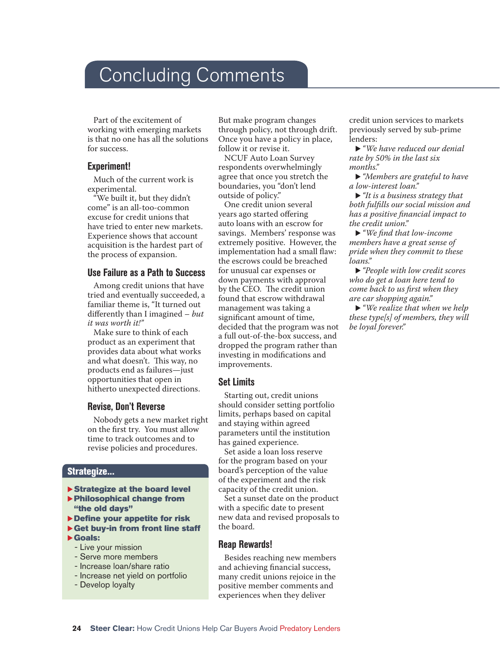### **Concluding Comments**

Part of the excitement of working with emerging markets is that no one has all the solutions for success.

#### **Experiment!**

Much of the current work is experimental.

"We built it, but they didn't come" is an all-too-common excuse for credit unions that have tried to enter new markets. Experience shows that account acquisition is the hardest part of the process of expansion.

#### **Use Failure as a Path to Success**

Among credit unions that have tried and eventually succeeded, a familiar theme is, "It turned out differently than I imagined – *but it was worth it!"*

Make sure to think of each product as an experiment that provides data about what works and what doesn't. This way, no products end as failures—just opportunities that open in hitherto unexpected directions.

#### **Revise, Don't Reverse**

Nobody gets a new market right on the first try. You must allow time to track outcomes and to revise policies and procedures.

#### Strategize...

- Strategize at the board level
- $\blacktriangleright$  Philosophical change from "the old days"
- $\blacktriangleright$  Define your appetite for risk
- $\blacktriangleright$  Get buy-in from front line staff  $\blacktriangleright$  Goals:
	- Live your mission
	- Serve more members
	- Increase loan/share ratio
	- Increase net yield on portfolio
	- Develop loyalty

But make program changes through policy, not through drift. Once you have a policy in place, follow it or revise it.

NCUF Auto Loan Survey respondents overwhelmingly agree that once you stretch the boundaries, you "don't lend outside of policy."

One credit union several years ago started offering auto loans with an escrow for savings. Members' response was extremely positive. However, the implementation had a small flaw: the escrows could be breached for unusual car expenses or down payments with approval by the CEO. The credit union found that escrow withdrawal management was taking a significant amount of time, decided that the program was not a full out-of-the-box success, and dropped the program rather than investing in modifications and improvements.

#### **Set Limits**

Starting out, credit unions should consider setting portfolio limits, perhaps based on capital and staying within agreed parameters until the institution has gained experience.

Set aside a loan loss reserve for the program based on your board's perception of the value of the experiment and the risk capacity of the credit union.

Set a sunset date on the product with a specific date to present new data and revised proposals to the board.

#### **Reap Rewards!**

Besides reaching new members and achieving financial success, many credit unions rejoice in the positive member comments and experiences when they deliver

credit union services to markets previously served by sub-prime lenders:

▶ "We have reduced our denial *rate by 50% in the last six months."*

u *"Members are grateful to have a low-interest loan."* 

► *"It is a business strategy that* both fulfills our social mission and *has a positive fi nancial impact to the credit union."*

▶ "We find that low-income *members have a great sense of pride when they commit to these loans."*

u *"People with low credit scores who do get a loan here tend to come back to us first when they are car shopping again."*

▶ "*We realize that when we help these type[s] of members, they will be loyal forever."*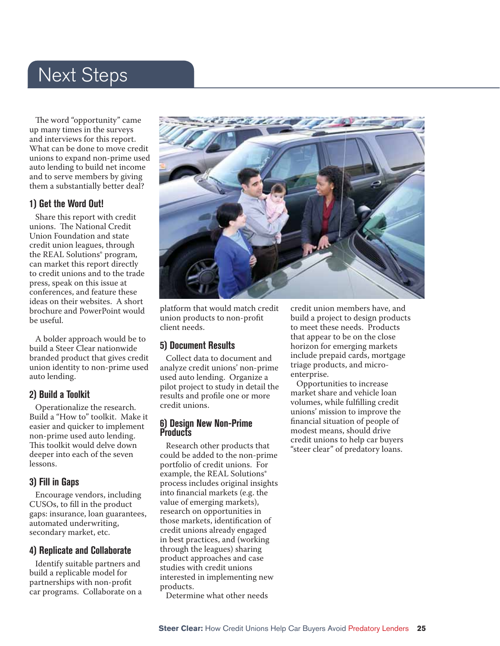### Next Steps

The word "opportunity" came up many times in the surveys and interviews for this report. What can be done to move credit unions to expand non-prime used auto lending to build net income and to serve members by giving them a substantially better deal?

#### **1) Get the Word Out!**

Share this report with credit unions. The National Credit Union Foundation and state credit union leagues, through the REAL Solutions® program, can market this report directly to credit unions and to the trade press, speak on this issue at conferences, and feature these ideas on their websites. A short brochure and PowerPoint would be useful.

A bolder approach would be to build a Steer Clear nationwide branded product that gives credit union identity to non-prime used auto lending.

#### **2) Build a Toolkit**

Operationalize the research. Build a "How to" toolkit. Make it easier and quicker to implement non-prime used auto lending. This toolkit would delve down deeper into each of the seven lessons.

#### **3) Fill in Gaps**

Encourage vendors, including CUSOs, to fill in the product gaps: insurance, loan guarantees, automated underwriting, secondary market, etc.

#### **4) Replicate and Collaborate**

Identify suitable partners and build a replicable model for partnerships with non-profit car programs. Collaborate on a



platform that would match credit union products to non-profit client needs.

#### **5) Document Results**

Collect data to document and analyze credit unions' non-prime used auto lending. Organize a pilot project to study in detail the results and profile one or more credit unions.

#### **6) Design New Non-Prime Products**

Research other products that could be added to the non-prime portfolio of credit unions. For example, the REAL Solutions® process includes original insights into financial markets (e.g. the value of emerging markets), research on opportunities in those markets, identification of credit unions already engaged in best practices, and (working through the leagues) sharing product approaches and case studies with credit unions interested in implementing new products.

Determine what other needs

credit union members have, and build a project to design products to meet these needs. Products that appear to be on the close horizon for emerging markets include prepaid cards, mortgage triage products, and microenterprise.

Opportunities to increase market share and vehicle loan volumes, while fulfilling credit unions' mission to improve the financial situation of people of modest means, should drive credit unions to help car buyers "steer clear" of predatory loans.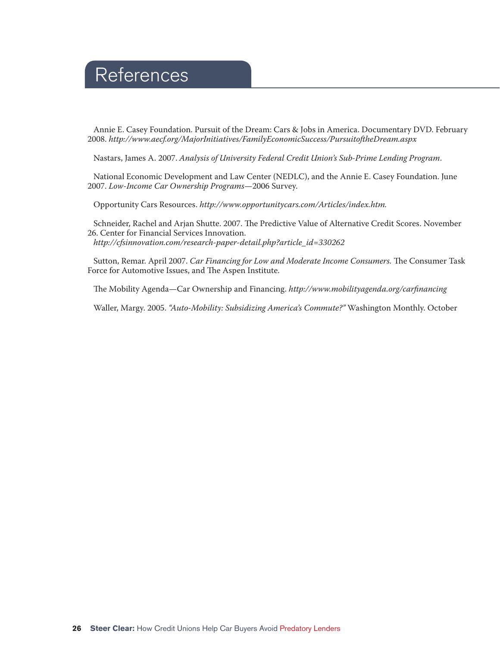### References

Annie E. Casey Foundation. Pursuit of the Dream: Cars & Jobs in America. Documentary DVD. February 2008. *http://www.aecf.org/MajorInitiatives/FamilyEconomicSuccess/PursuitoftheDream.aspx* 

Nastars, James A. 2007. *Analysis of University Federal Credit Union's Sub-Prime Lending Program*.

National Economic Development and Law Center (NEDLC), and the Annie E. Casey Foundation. June 2007. *Low-Income Car Ownership Programs*—2006 Survey.

Opportunity Cars Resources. *http://www.opportunitycars.com/Articles/index.htm.*

Schneider, Rachel and Arjan Shutte. 2007. The Predictive Value of Alternative Credit Scores. November 26. Center for Financial Services Innovation. *http://cfsinnovation.com/research-paper-detail.php?article\_id=330262* 

Sutton, Remar. April 2007. *Car Financing for Low and Moderate Income Consumers*. The Consumer Task Force for Automotive Issues, and The Aspen Institute.

The Mobility Agenda—Car Ownership and Financing. *http://www.mobilityagenda.org/carfinancing* 

Waller, Margy. 2005. *"Auto-Mobility: Subsidizing America's Commute?"* Washington Monthly. October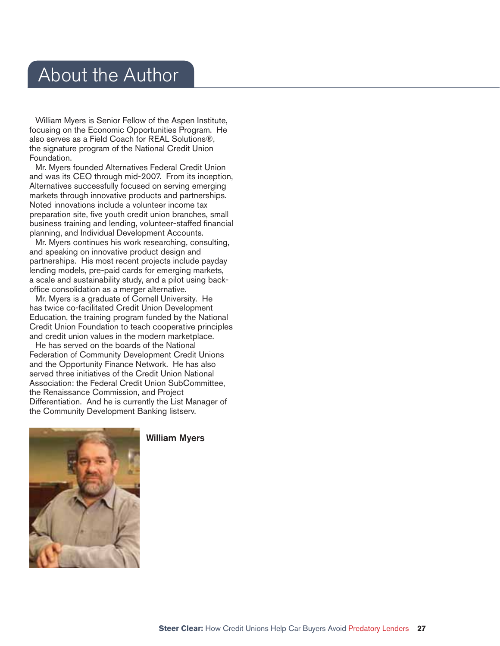### About the Author

William Myers is Senior Fellow of the Aspen Institute, focusing on the Economic Opportunities Program. He also serves as a Field Coach for REAL Solutions®, the signature program of the National Credit Union Foundation.

Mr. Myers founded Alternatives Federal Credit Union and was its CEO through mid-2007. From its inception, Alternatives successfully focused on serving emerging markets through innovative products and partnerships. Noted innovations include a volunteer income tax preparation site, five youth credit union branches, small business training and lending, volunteer-staffed financial planning, and Individual Development Accounts.

Mr. Myers continues his work researching, consulting, and speaking on innovative product design and partnerships. His most recent projects include payday lending models, pre-paid cards for emerging markets, a scale and sustainability study, and a pilot using backoffice consolidation as a merger alternative.

Mr. Myers is a graduate of Cornell University. He has twice co-facilitated Credit Union Development Education, the training program funded by the National Credit Union Foundation to teach cooperative principles and credit union values in the modern marketplace.

He has served on the boards of the National Federation of Community Development Credit Unions and the Opportunity Finance Network. He has also served three initiatives of the Credit Union National Association: the Federal Credit Union SubCommittee, the Renaissance Commission, and Project Differentiation. And he is currently the List Manager of the Community Development Banking listserv.



#### William Myers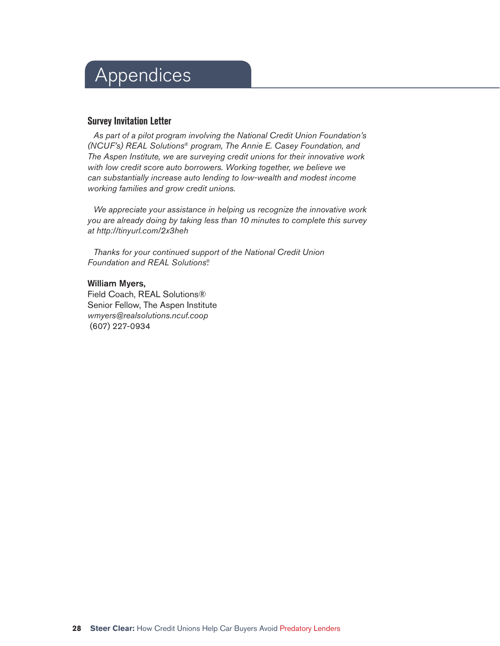## Appendices

#### **Survey Invitation Letter**

*As part of a pilot program involving the National Credit Union Foundation's (NCUF's) REAL Solutions® program, The Annie E. Casey Foundation, and The Aspen Institute, we are surveying credit unions for their innovative work with low credit score auto borrowers. Working together, we believe we can substantially increase auto lending to low-wealth and modest income working families and grow credit unions.* 

*We appreciate your assistance in helping us recognize the innovative work you are already doing by taking less than 10 minutes to complete this survey at http://tinyurl.com/2x3heh* 

*Thanks for your continued support of the National Credit Union Foundation and REAL Solutions®.* 

#### William Myers,

Field Coach, REAL Solutions® Senior Fellow, The Aspen Institute *wmyers@realsolutions.ncuf.coop* (607) 227-0934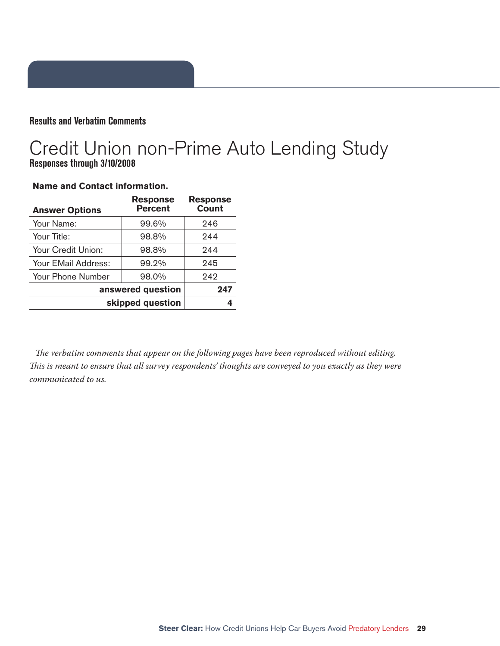#### **Results and Verbatim Comments**

### Credit Union non-Prime Auto Lending Study **Responses through 3/10/2008**

| <b>Answer Options</b> | <b>Response</b><br><b>Percent</b> | <b>Response</b><br><b>Count</b> |
|-----------------------|-----------------------------------|---------------------------------|
| Your Name:            | 99.6%                             | 246                             |
| Your Title:           | 98.8%                             | 244                             |
| Your Credit Union:    | 98.8%                             | 244                             |
| Your EMail Address:   | 99.2%                             | 245                             |
| Your Phone Number     | 98.0%                             | 242                             |
| answered question     |                                   | 247                             |
| skipped question      |                                   |                                 |

#### **Name and Contact information.**

The verbatim comments that appear on the following pages have been reproduced without editing. *This is meant to ensure that all survey respondents' thoughts are conveyed to you exactly as they were communicated to us.*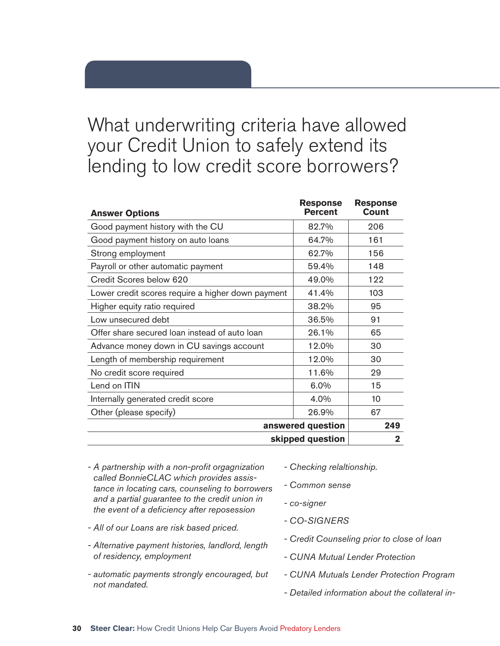### What underwriting criteria have allowed your Credit Union to safely extend its lending to low credit score borrowers?

| <b>Answer Options</b>                             | <b>Response</b><br><b>Percent</b> | <b>Response</b><br>Count |
|---------------------------------------------------|-----------------------------------|--------------------------|
| Good payment history with the CU                  | 82.7%                             | 206                      |
| Good payment history on auto loans                | 64.7%                             | 161                      |
| Strong employment                                 | 62.7%                             | 156                      |
| Payroll or other automatic payment                | 59.4%                             | 148                      |
| Credit Scores below 620                           | 49.0%                             | 122                      |
| Lower credit scores require a higher down payment | 41.4%                             | 103                      |
| Higher equity ratio required                      | 38.2%                             | 95                       |
| Low unsecured debt                                | 36.5%                             | 91                       |
| Offer share secured loan instead of auto loan     | 26.1%                             | 65                       |
| Advance money down in CU savings account          | 12.0%                             | 30                       |
| Length of membership requirement                  | 12.0%                             | 30                       |
| No credit score required                          | 11.6%                             | 29                       |
| Lend on ITIN                                      | $6.0\%$                           | 15                       |
| Internally generated credit score                 | 4.0%                              | 10                       |
| Other (please specify)                            | 26.9%                             | 67                       |
|                                                   | answered question                 | 249                      |
|                                                   | skipped question                  | 2                        |

- *A partnership with a non-profi t orgagnization called BonnieCLAC which provides assistance in locating cars, counseling to borrowers and a partial guarantee to the credit union in the event of a defi ciency after reposession - co-signer*
- *All of our Loans are risk based priced.*
- *Alternative payment histories, landlord, length of residency, employment*
- *automatic payments strongly encouraged, but not mandated.*
- *Checking relaltionship.*
- *Common sense*
- *CO-SIGNERS*
- *Credit Counseling prior to close of loan*
- *CUNA Mutual Lender Protection*
- *CUNA Mutuals Lender Protection Program*
- *Detailed information about the collateral in-*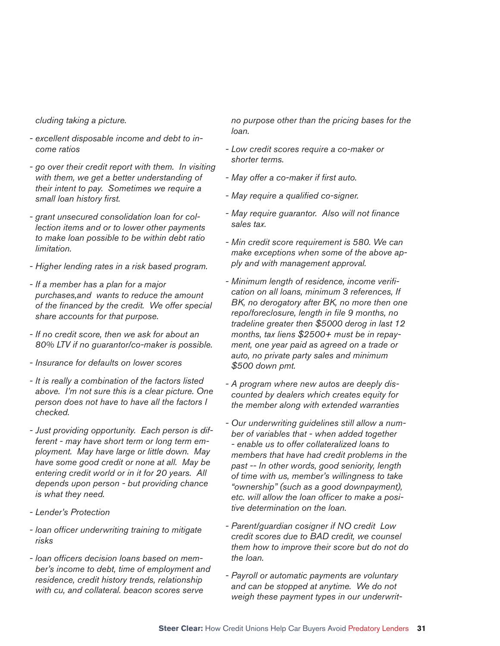*cluding taking a picture.* 

- *excellent disposable income and debt to income ratios*
- *go over their credit report with them. In visiting with them, we get a better understanding of their intent to pay. Sometimes we require a*  small loan history first.
- *grant unsecured consolidation loan for collection items and or to lower other payments to make loan possible to be within debt ratio limitation.*
- *Higher lending rates in a risk based program.*
- *If a member has a plan for a major purchases,and wants to reduce the amount*  of the financed by the credit. We offer special *share accounts for that purpose.*
- *If no credit score, then we ask for about an 80% LTV if no guarantor/co-maker is possible.*
- *Insurance for defaults on lower scores*
- *It is really a combination of the factors listed above. I'm not sure this is a clear picture. One person does not have to have all the factors I checked.*
- *Just providing opportunity. Each person is different - may have short term or long term employment. May have large or little down. May have some good credit or none at all. May be entering credit world or in it for 20 years. All depends upon person - but providing chance is what they need.*
- *Lender's Protection*
- *loan offi cer underwriting training to mitigate risks*
- loan officers decision loans based on mem*ber's income to debt, time of employment and residence, credit history trends, relationship with cu, and collateral. beacon scores serve*

*no purpose other than the pricing bases for the loan.* 

- *Low credit scores require a co-maker or shorter terms.*
- May offer a co-maker if first auto.
- *May require a qualifi ed co-signer.*
- *May require guarantor. Also will not fi nance sales tax.*
- *Min credit score requirement is 580. We can make exceptions when some of the above apply and with management approval.*
- *Minimum length of residence, income verifi cation on all loans, minimum 3 references, If BK, no derogatory after BK, no more then one*  repo/foreclosure, length in file 9 months, no *tradeline greater then \$5000 derog in last 12 months, tax liens \$2500+ must be in repayment, one year paid as agreed on a trade or auto, no private party sales and minimum \$500 down pmt.*
- *A program where new autos are deeply discounted by dealers which creates equity for the member along with extended warranties*
- *Our underwriting guidelines still allow a number of variables that - when added together - enable us to offer collateralized loans to members that have had credit problems in the past -- In other words, good seniority, length of time with us, member's willingness to take "ownership" (such as a good downpayment),*  etc. will allow the loan officer to make a posi*tive determination on the loan.*
- *Parent/guardian cosigner if NO credit Low credit scores due to BAD credit, we counsel them how to improve their score but do not do the loan.*
- *Payroll or automatic payments are voluntary and can be stopped at anytime. We do not weigh these payment types in our underwrit-*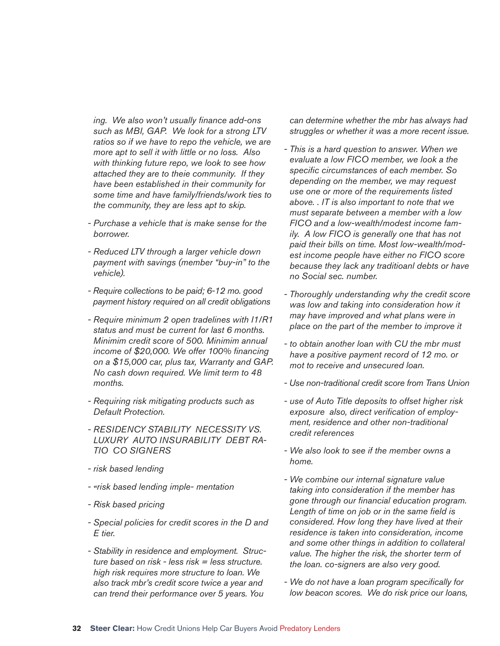ing. We also won't usually finance add-ons *such as MBI, GAP. We look for a strong LTV ratios so if we have to repo the vehicle, we are more apt to sell it with little or no loss. Also with thinking future repo, we look to see how attached they are to theie community. If they have been established in their community for some time and have family/friends/work ties to the community, they are less apt to skip.* 

- *Purchase a vehicle that is make sense for the borrower.*
- *Reduced LTV through a larger vehicle down payment with savings (member "buy-in" to the vehicle).*
- *Require collections to be paid; 6-12 mo. good payment history required on all credit obligations*
- *Require minimum 2 open tradelines with I1/R1 status and must be current for last 6 months. Minimim credit score of 500. Minimim annual*  income of \$20,000. We offer 100% financing *on a \$15,000 car, plus tax, Warranty and GAP. No cash down required. We limit term to 48 months.*
- *Requiring risk mitigating products such as Default Protection.*
- *RESIDENCY STABILITY NECESSITY VS. LUXURY AUTO INSURABILITY DEBT RA-TIO CO SIGNERS*
- *risk based lending*
- *«risk based lending imple- mentation*
- *Risk based pricing*
- *Special policies for credit scores in the D and E tier.*
- *Stability in residence and employment. Structure based on risk - less risk = less structure. high risk requires more structure to loan. We also track mbr's credit score twice a year and can trend their performance over 5 years. You*

*can determine whether the mbr has always had struggles or whether it was a more recent issue.*

- *This is a hard question to answer. When we evaluate a low FICO member, we look a the*  specific circumstances of each member. So *depending on the member, we may request use one or more of the requirements listed above. . IT is also important to note that we must separate between a member with a low FICO and a low-wealth/modest income family. A low FICO is generally one that has not paid their bills on time. Most low-wealth/modest income people have either no FICO score because they lack any traditioanl debts or have no Social sec. number.*
- *Thoroughly understanding why the credit score was low and taking into consideration how it may have improved and what plans were in place on the part of the member to improve it*
- *to obtain another loan with CU the mbr must have a positive payment record of 12 mo. or mot to receive and unsecured loan.*
- *Use non-traditional credit score from Trans Union*
- *use of Auto Title deposits to offset higher risk*  exposure also, direct verification of employ*ment, residence and other non-traditional credit references*
- *We also look to see if the member owns a home.*
- *We combine our internal signature value taking into consideration if the member has*  gone through our financial education program. Length of time on job or in the same field is *considered. How long they have lived at their residence is taken into consideration, income and some other things in addition to collateral value. The higher the risk, the shorter term of the loan. co-signers are also very good.*
- *We do not have a loan program specifi cally for low beacon scores. We do risk price our loans,*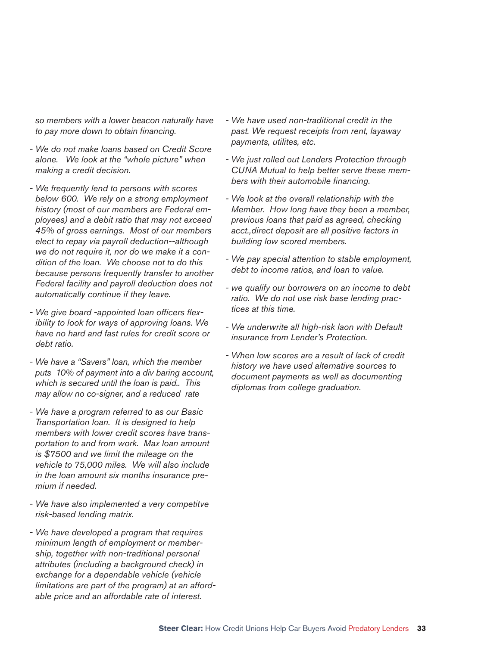*so members with a lower beacon naturally have*  to pay more down to obtain financing.

- *We do not make loans based on Credit Score alone. We look at the "whole picture" when making a credit decision.*
- *We frequently lend to persons with scores below 600. We rely on a strong employment history (most of our members are Federal employees) and a debit ratio that may not exceed 45% of gross earnings. Most of our members elect to repay via payroll deduction--although we do not require it, nor do we make it a condition of the loan. We choose not to do this because persons frequently transfer to another Federal facility and payroll deduction does not automatically continue if they leave.*
- We give board -appointed loan officers flex*ibility to look for ways of approving loans. We have no hard and fast rules for credit score or debt ratio.*
- *We have a "Savers" loan, which the member puts 10% of payment into a div baring account, which is secured until the loan is paid.. This may allow no co-signer, and a reduced rate*
- *We have a program referred to as our Basic Transportation loan. It is designed to help members with lower credit scores have transportation to and from work. Max loan amount is \$7500 and we limit the mileage on the vehicle to 75,000 miles. We will also include in the loan amount six months insurance premium if needed.*
- *We have also implemented a very competitve risk-based lending matrix.*
- *We have developed a program that requires minimum length of employment or membership, together with non-traditional personal attributes (including a background check) in exchange for a dependable vehicle (vehicle limitations are part of the program) at an affordable price and an affordable rate of interest.*
- *We have used non-traditional credit in the past. We request receipts from rent, layaway payments, utilites, etc.*
- *We just rolled out Lenders Protection through CUNA Mutual to help better serve these mem*bers with their automobile financing.
- *We look at the overall relationship with the Member. How long have they been a member, previous loans that paid as agreed, checking acct.,direct deposit are all positive factors in building low scored members.*
- *We pay special attention to stable employment, debt to income ratios, and loan to value.*
- *we qualify our borrowers on an income to debt ratio. We do not use risk base lending practices at this time.*
- *We underwrite all high-risk laon with Default insurance from Lender's Protection.*
- *When low scores are a result of lack of credit history we have used alternative sources to document payments as well as documenting diplomas from college graduation.*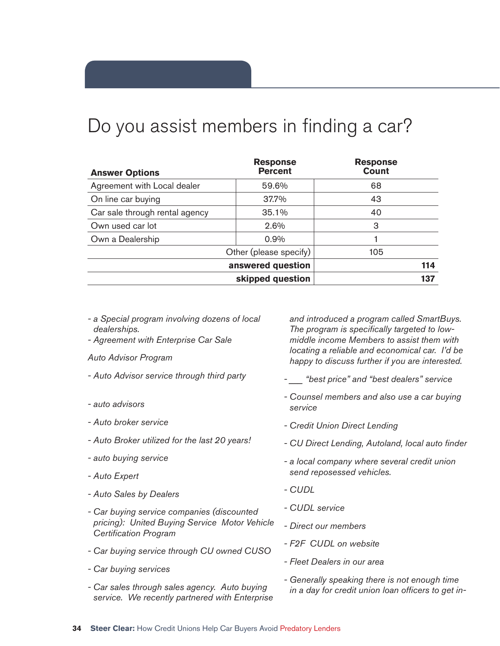## Do you assist members in finding a car?

| <b>Answer Options</b>          | <b>Response</b><br><b>Percent</b> | <b>Response</b><br><b>Count</b> |     |
|--------------------------------|-----------------------------------|---------------------------------|-----|
| Agreement with Local dealer    | 59.6%                             | 68                              |     |
| On line car buying             | 37.7%                             | 43                              |     |
| Car sale through rental agency | 35.1%                             | 40                              |     |
| Own used car lot               | 2.6%                              | З                               |     |
| Own a Dealership               | 0.9%                              |                                 |     |
|                                | Other (please specify)            | 105                             |     |
| answered question              |                                   |                                 | 114 |
|                                | skipped question                  |                                 | 137 |

- *a Special program involving dozens of local dealerships.*
- *Agreement with Enterprise Car Sale*
- *Auto Advisor Program*
- *Auto Advisor service through third party*
- *auto advisors*
- *Auto broker service*
- *Auto Broker utilized for the last 20 years!*
- *auto buying service*
- *Auto Expert*
- *Auto Sales by Dealers*
- *Car buying service companies (discounted pricing): United Buying Service Motor Vehicle Certifi cation Program*
- *Car buying service through CU owned CUSO*
- *Car buying services*
- *Car sales through sales agency. Auto buying service. We recently partnered with Enterprise*

*and introduced a program called SmartBuys.*  The program is specifically targeted to low*middle income Members to assist them with locating a reliable and economical car. I'd be happy to discuss further if you are interested.*

- *\_\_\_ "best price" and "best dealers" service*
- *Counsel members and also use a car buying service*
- *Credit Union Direct Lending*
- *CU Direct Lending, Autoland, local auto fi nder*
- *a local company where several credit union send reposessed vehicles.*
- *CUDL*
- *CUDL service*
- *Direct our members*
- *F2F CUDL on website*
- *Fleet Dealers in our area*
- *Generally speaking there is not enough time*  in a day for credit union loan officers to get in-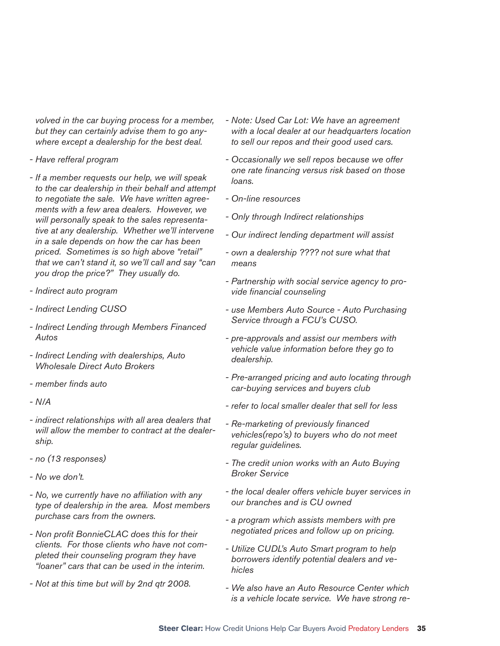*volved in the car buying process for a member, but they can certainly advise them to go anywhere except a dealership for the best deal.* 

- *Have refferal program*
- *If a member requests our help, we will speak to the car dealership in their behalf and attempt to negotiate the sale. We have written agreements with a few area dealers. However, we will personally speak to the sales representative at any dealership. Whether we'll intervene in a sale depends on how the car has been priced. Sometimes is so high above "retail" that we can't stand it, so we'll call and say "can you drop the price?" They usually do.*
- *Indirect auto program*
- *Indirect Lending CUSO*
- *Indirect Lending through Members Financed Autos*
- *Indirect Lending with dealerships, Auto Wholesale Direct Auto Brokers*
- *member fi nds auto*
- *N/A*
- *indirect relationships with all area dealers that will allow the member to contract at the dealership.*
- *no (13 responses)*
- *No we don't.*
- *No, we currently have no affi liation with any type of dealership in the area. Most members purchase cars from the owners.*
- *Non profi t BonnieCLAC does this for their clients. For those clients who have not completed their counseling program they have "loaner" cars that can be used in the interim.*
- *Not at this time but will by 2nd qtr 2008.*
- *Note: Used Car Lot: We have an agreement with a local dealer at our headquarters location to sell our repos and their good used cars.*
- *Occasionally we sell repos because we offer one rate fi nancing versus risk based on those loans.*
- *On-line resources*
- *Only through Indirect relationships*
- *Our indirect lending department will assist*
- *own a dealership ???? not sure what that means*
- *Partnership with social service agency to pro* $video$  *financial* counseling
- *use Members Auto Source Auto Purchasing Service through a FCU's CUSO.*
- *pre-approvals and assist our members with vehicle value information before they go to dealership.*
- *Pre-arranged pricing and auto locating through car-buying services and buyers club*
- *refer to local smaller dealer that sell for less*
- *Re-marketing of previously fi nanced vehicles(repo's) to buyers who do not meet regular guidelines.*
- *The credit union works with an Auto Buying Broker Service*
- *the local dealer offers vehicle buyer services in our branches and is CU owned*
- *a program which assists members with pre negotiated prices and follow up on pricing.*
- *Utilize CUDL's Auto Smart program to help borrowers identify potential dealers and vehicles*
- *We also have an Auto Resource Center which is a vehicle locate service. We have strong re-*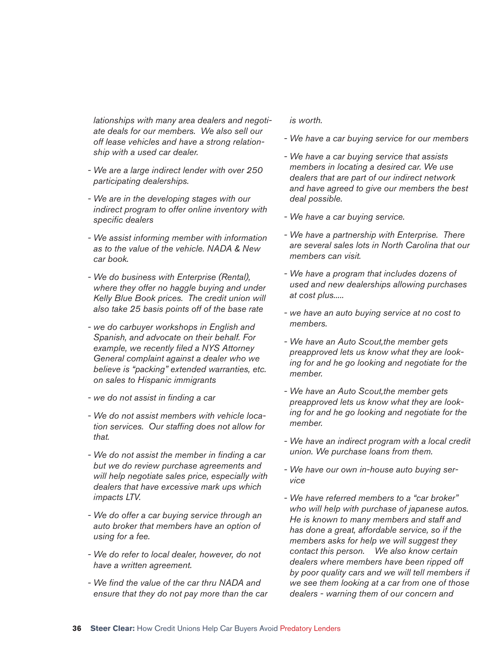*lationships with many area dealers and negotiate deals for our members. We also sell our off lease vehicles and have a strong relationship with a used car dealer.* 

- *We are a large indirect lender with over 250 participating dealerships.*
- *We are in the developing stages with our indirect program to offer online inventory with specifi c dealers*
- *We assist informing member with information as to the value of the vehicle. NADA & New car book.*
- *We do business with Enterprise (Rental), where they offer no haggle buying and under Kelly Blue Book prices. The credit union will also take 25 basis points off of the base rate*
- *we do carbuyer workshops in English and Spanish, and advocate on their behalf. For example, we recently fi led a NYS Attorney General complaint against a dealer who we believe is "packing" extended warranties, etc. on sales to Hispanic immigrants*
- *we do not assist in fi nding a car*
- *We do not assist members with vehicle location services. Our staffing does not allow for that.*
- *We do not assist the member in fi nding a car but we do review purchase agreements and will help negotiate sales price, especially with dealers that have excessive mark ups which impacts LTV.*
- *We do offer a car buying service through an auto broker that members have an option of using for a fee.*
- *We do refer to local dealer, however, do not have a written agreement.*
- *We fi nd the value of the car thru NADA and ensure that they do not pay more than the car*

#### *is worth.*

- *We have a car buying service for our members*
- *We have a car buying service that assists members in locating a desired car. We use dealers that are part of our indirect network and have agreed to give our members the best deal possible.*
- *We have a car buying service.*
- *We have a partnership with Enterprise. There are several sales lots in North Carolina that our members can visit.*
- *We have a program that includes dozens of used and new dealerships allowing purchases at cost plus.....*
- *we have an auto buying service at no cost to members.*
- *We have an Auto Scout,the member gets preapproved lets us know what they are looking for and he go looking and negotiate for the member.*
- *We have an Auto Scout,the member gets preapproved lets us know what they are looking for and he go looking and negotiate for the member.*
- *We have an indirect program with a local credit union. We purchase loans from them.*
- *We have our own in-house auto buying service*
- *We have referred members to a "car broker" who will help with purchase of japanese autos. He is known to many members and staff and has done a great, affordable service, so if the members asks for help we will suggest they contact this person. We also know certain dealers where members have been ripped off by poor quality cars and we will tell members if we see them looking at a car from one of those dealers - warning them of our concern and*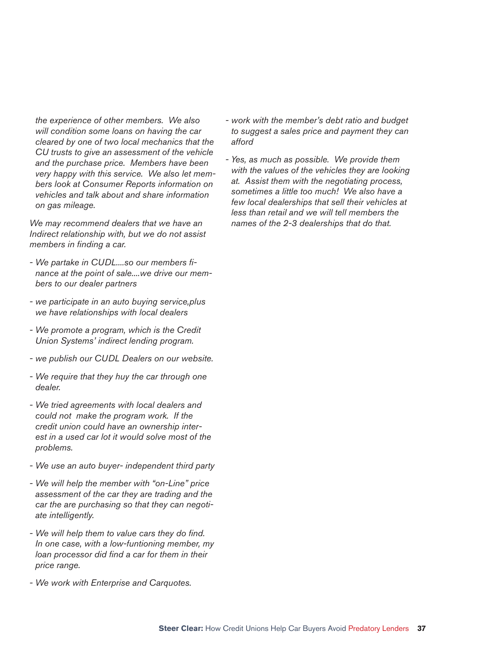*the experience of other members. We also will condition some loans on having the car cleared by one of two local mechanics that the CU trusts to give an assessment of the vehicle and the purchase price. Members have been very happy with this service. We also let members look at Consumer Reports information on vehicles and talk about and share information on gas mileage.* 

*We may recommend dealers that we have an Indirect relationship with, but we do not assist members in finding a car.* 

- *We partake in CUDL....so our members fi nance at the point of sale....we drive our members to our dealer partners*
- *we participate in an auto buying service,plus we have relationships with local dealers*
- *We promote a program, which is the Credit Union Systems' indirect lending program.*
- *we publish our CUDL Dealers on our website.*
- *We require that they huy the car through one dealer.*
- *We tried agreements with local dealers and could not make the program work. If the credit union could have an ownership interest in a used car lot it would solve most of the problems.*
- *We use an auto buyer- independent third party*
- *We will help the member with "on-Line" price assessment of the car they are trading and the car the are purchasing so that they can negotiate intelligently.*
- We will help them to value cars they do find. *In one case, with a low-funtioning member, my*  loan processor did find a car for them in their *price range.*
- *We work with Enterprise and Carquotes.*
- *work with the member's debt ratio and budget to suggest a sales price and payment they can afford*
- *Yes, as much as possible. We provide them with the values of the vehicles they are looking at. Assist them with the negotiating process, sometimes a little too much! We also have a few local dealerships that sell their vehicles at less than retail and we will tell members the names of the 2-3 dealerships that do that.*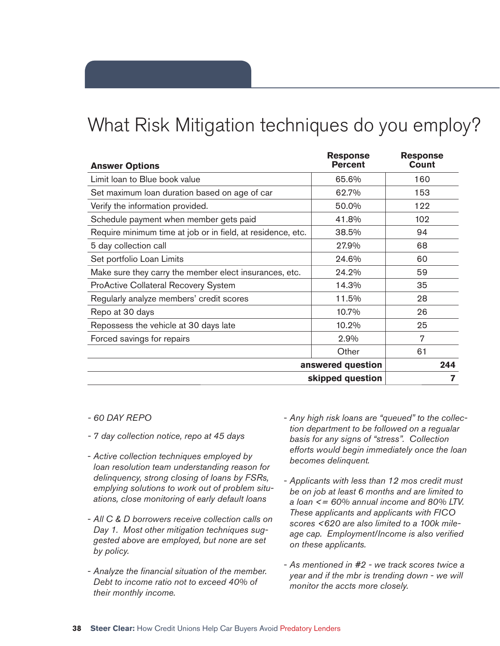## What Risk Mitigation techniques do you employ?

| <b>Answer Options</b>                                       | <b>Response</b><br><b>Percent</b> | <b>Response</b><br><b>Count</b> |
|-------------------------------------------------------------|-----------------------------------|---------------------------------|
| Limit loan to Blue book value                               | 65.6%                             | 160                             |
| Set maximum loan duration based on age of car               | 62.7%                             | 153                             |
| Verify the information provided.                            | 50.0%                             | 122                             |
| Schedule payment when member gets paid                      | 41.8%                             | 102                             |
| Require minimum time at job or in field, at residence, etc. | 38.5%                             | 94                              |
| 5 day collection call                                       | 27.9%                             | 68                              |
| Set portfolio Loan Limits                                   | 24.6%                             | 60                              |
| Make sure they carry the member elect insurances, etc.      | 24.2%                             | 59                              |
| <b>ProActive Collateral Recovery System</b>                 | 14.3%                             | 35                              |
| Regularly analyze members' credit scores                    | 11.5%                             | 28                              |
| Repo at 30 days                                             | 10.7%                             | 26                              |
| Repossess the vehicle at 30 days late                       | 10.2%                             | 25                              |
| Forced savings for repairs                                  | 2.9%                              | 7                               |
|                                                             | Other                             | 61                              |
|                                                             | answered question                 | 244                             |
|                                                             | skipped question                  |                                 |

- *60 DAY REPO*
- *7 day collection notice, repo at 45 days*
- *Active collection techniques employed by loan resolution team understanding reason for delinquency, strong closing of loans by FSRs, emplying solutions to work out of problem situations, close monitoring of early default loans*
- *All C & D borrowers receive collection calls on Day 1. Most other mitigation techniques suggested above are employed, but none are set by policy.*
- Analyze the financial situation of the member. *Debt to income ratio not to exceed 40% of their monthly income.*
- *Any high risk loans are "queued" to the collection department to be followed on a regualar basis for any signs of "stress". Collection efforts would begin immediately once the loan becomes delinquent.*
- *Applicants with less than 12 mos credit must be on job at least 6 months and are limited to a loan <= 60% annual income and 80% LTV. These applicants and applicants with FICO scores <620 are also limited to a 100k mile*age cap. Employment/Income is also verified *on these applicants.*
- *As mentioned in #2 we track scores twice a year and if the mbr is trending down - we will monitor the accts more closely.*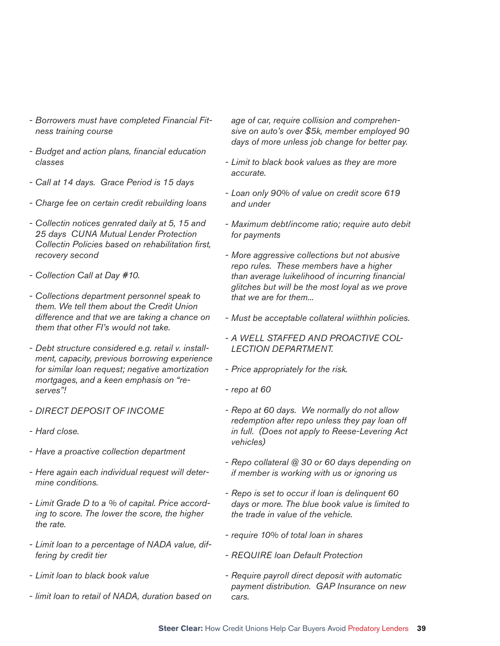- *Borrowers must have completed Financial Fitness training course*
- *Budget and action plans, fi nancial education classes*
- *Call at 14 days. Grace Period is 15 days*
- *Charge fee on certain credit rebuilding loans*
- *Collectin notices genrated daily at 5, 15 and 25 days CUNA Mutual Lender Protection Collectin Policies based on rehabilitation fi rst, recovery second*
- *Collection Call at Day #10.*
- *Collections department personnel speak to them. We tell them about the Credit Union difference and that we are taking a chance on them that other FI's would not take.*
- *Debt structure considered e.g. retail v. installment, capacity, previous borrowing experience for similar loan request; negative amortization mortgages, and a keen emphasis on "reserves"!*
- *DIRECT DEPOSIT OF INCOME*
- *Hard close.*
- *Have a proactive collection department*
- *Here again each individual request will determine conditions.*
- *Limit Grade D to a % of capital. Price according to score. The lower the score, the higher the rate.*
- *Limit loan to a percentage of NADA value, differing by credit tier*
- *Limit loan to black book value*
- *limit loan to retail of NADA, duration based on*

*age of car, require collision and comprehensive on auto's over \$5k, member employed 90 days of more unless job change for better pay.*

- *Limit to black book values as they are more accurate.*
- *Loan only 90% of value on credit score 619 and under*
- *Maximum debt/income ratio; require auto debit for payments*
- *More aggressive collections but not abusive repo rules. These members have a higher than average luikelihood of incurring fi nancial glitches but will be the most loyal as we prove that we are for them...*
- *Must be acceptable collateral wiithhin policies.*
- *A WELL STAFFED AND PROACTIVE COL-LECTION DEPARTMENT.*
- *Price appropriately for the risk.*
- *repo at 60*
- *Repo at 60 days. We normally do not allow redemption after repo unless they pay loan off in full. (Does not apply to Reese-Levering Act vehicles)*
- *Repo collateral @ 30 or 60 days depending on if member is working with us or ignoring us*
- *Repo is set to occur if loan is delinquent 60 days or more. The blue book value is limited to the trade in value of the vehicle.*
- *require 10% of total loan in shares*
- *REQUIRE loan Default Protection*
- *Require payroll direct deposit with automatic payment distribution. GAP Insurance on new cars.*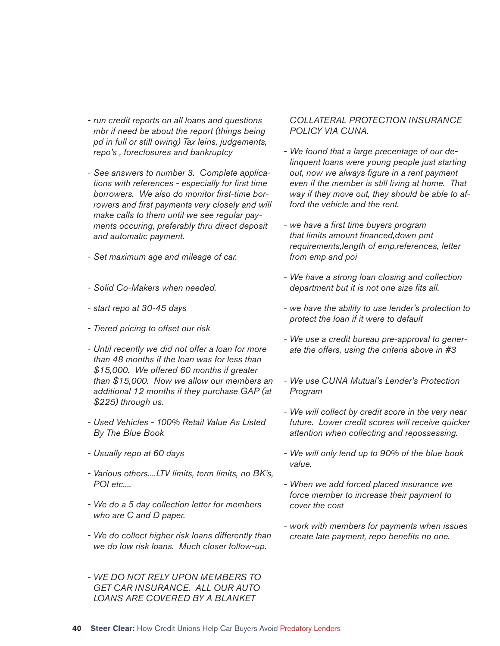- *run credit reports on all loans and questions mbr if need be about the report (things being pd in full or still owing) Tax leins, judgements, repo's , foreclosures and bankruptcy*
- *See answers to number 3. Complete applica*tions with references - especially for first time borrowers. We also do monitor first-time borrowers and first payments very closely and will *make calls to them until we see regular payments occuring, preferably thru direct deposit and automatic payment.*
- *Set maximum age and mileage of car.*
- *Solid Co-Makers when needed.*
- *start repo at 30-45 days*
- *Tiered pricing to offset our risk*
- *Until recently we did not offer a loan for more than 48 months if the loan was for less than \$15,000. We offered 60 months if greater than \$15,000. Now we allow our members an additional 12 months if they purchase GAP (at \$225) through us.*
- *Used Vehicles 100% Retail Value As Listed By The Blue Book*
- *Usually repo at 60 days*
- *Various others....LTV limits, term limits, no BK's, POI etc....*
- *We do a 5 day collection letter for members who are C and D paper.*
- *We do collect higher risk loans differently than we do low risk loans. Much closer follow-up.*
- *WE DO NOT RELY UPON MEMBERS TO GET CAR INSURANCE. ALL OUR AUTO LOANS ARE COVERED BY A BLANKET*

#### *COLLATERAL PROTECTION INSURANCE POLICY VIA CUNA.*

- *We found that a large precentage of our delinquent loans were young people just starting out, now we always fi gure in a rent payment even if the member is still living at home. That way if they move out, they should be able to afford the vehicle and the rent.*
- *we have a fi rst time buyers program that limits amount fi nanced,down pmt requirements,length of emp,references, letter from emp and poi*
- *We have a strong loan closing and collection department but it is not one size fits all.*
- *we have the ability to use lender's protection to protect the loan if it were to default*
- *We use a credit bureau pre-approval to generate the offers, using the criteria above in #3*
- *We use CUNA Mutual's Lender's Protection Program*
- *We will collect by credit score in the very near future. Lower credit scores will receive quicker attention when collecting and repossessing.*
- *We will only lend up to 90% of the blue book value.*
- *When we add forced placed insurance we force member to increase their payment to cover the cost*
- *work with members for payments when issues create late payment, repo benefits no one.*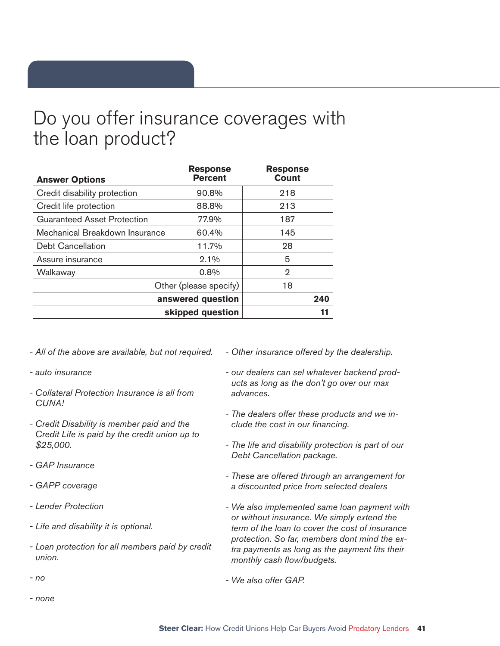### Do you offer insurance coverages with the loan product?

| <b>Answer Options</b>              | <b>Response</b><br><b>Percent</b> | <b>Response</b><br><b>Count</b> |
|------------------------------------|-----------------------------------|---------------------------------|
| Credit disability protection       | 90.8%                             | 218                             |
| Credit life protection             | 88.8%                             | 213                             |
| <b>Guaranteed Asset Protection</b> | 77.9%                             | 187                             |
| Mechanical Breakdown Insurance     | 60.4%                             | 145                             |
| <b>Debt Cancellation</b>           | 11.7%                             | 28                              |
| Assure insurance                   | $2.1\%$                           | 5                               |
| Walkaway                           | 0.8%                              | 2                               |
|                                    | Other (please specify)            | 18                              |
|                                    | answered question                 | 240                             |
|                                    | skipped question                  | 11                              |

- *All of the above are available, but not required.*
- *auto insurance*
- *Collateral Protection Insurance is all from CUNA!*
- *Credit Disability is member paid and the Credit Life is paid by the credit union up to \$25,000.*
- *GAP Insurance*
- *GAPP coverage*
- *Lender Protection*
- *Life and disability it is optional.*
- *Loan protection for all members paid by credit union.*
- *no*
- *none*
- *Other insurance offered by the dealership.*
- *our dealers can sel whatever backend products as long as the don't go over our max advances.*
- *The dealers offer these products and we include the cost in our financing.*
- *The life and disability protection is part of our Debt Cancellation package.*
- *These are offered through an arrangement for a discounted price from selected dealers*
- *We also implemented same loan payment with or without insurance. We simply extend the term of the loan to cover the cost of insurance protection. So far, members dont mind the extra payments as long as the payment fits their monthly cash flow/budgets.*
- *We also offer GAP.*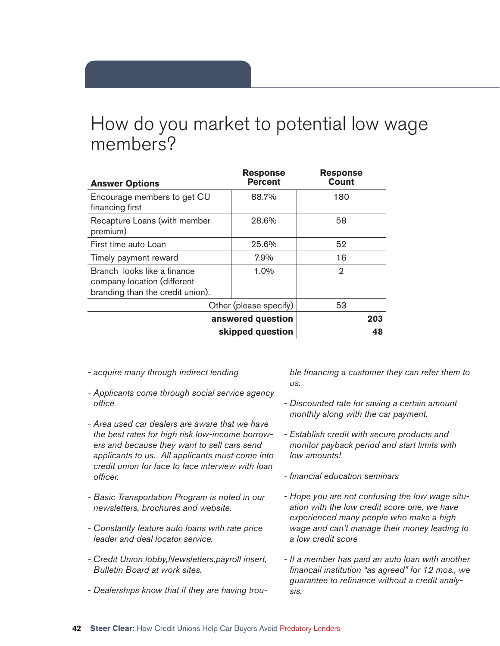### How do you market to potential low wage members?

| <b>Answer Options</b>                                                                          | <b>Response</b><br><b>Percent</b> | <b>Response</b><br><b>Count</b> |
|------------------------------------------------------------------------------------------------|-----------------------------------|---------------------------------|
| Encourage members to get CU<br>financing first                                                 | 88.7%                             | 180                             |
| Recapture Loans (with member<br>premium)                                                       | 28.6%                             | 58                              |
| First time auto Loan                                                                           | 25.6%                             | 52                              |
| Timely payment reward                                                                          | 7.9%                              | 16                              |
| Branch looks like a finance<br>company location (different<br>branding than the credit union). | 1.0%                              | 2                               |
|                                                                                                | Other (please specify)            | 53                              |
| answered question                                                                              |                                   | 203                             |
| skipped question                                                                               |                                   | 48                              |

- *acquire many through indirect lending*
- *Applicants come through social service agency offi ce*
- *Area used car dealers are aware that we have the best rates for high risk low-income borrowers and because they want to sell cars send applicants to us. All applicants must come into credit union for face to face interview with loan offi cer.*
- *Basic Transportation Program is noted in our newsletters, brochures and website.*
- *Constantly feature auto loans with rate price leader and deal locator service.*
- *Credit Union lobby,Newsletters,payroll insert, Bulletin Board at work sites.*
- *Dealerships know that if they are having trou-*

ble financing a customer they can refer them to *us.* 

- *Discounted rate for saving a certain amount monthly along with the car payment.*
- *Establish credit with secure products and monitor payback period and start limits with low amounts!*
- *fi nancial education seminars*
- *Hope you are not confusing the low wage situation with the low credit score one, we have experienced many people who make a high wage and can't manage their money leading to a low credit score*
- *If a member has paid an auto loan with another fi nancail institution "as agreed" for 12 mos., we*  guarantee to refinance without a credit analy*sis.*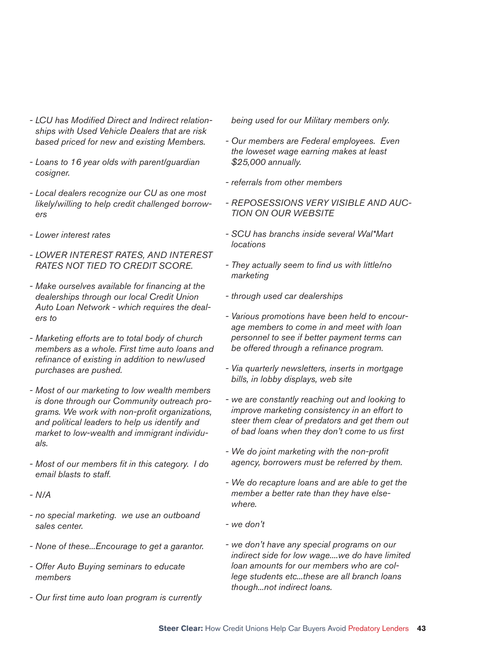- LCU has Modified Direct and Indirect relation*ships with Used Vehicle Dealers that are risk based priced for new and existing Members.*
- *Loans to 16 year olds with parent/guardian cosigner.*
- *Local dealers recognize our CU as one most likely/willing to help credit challenged borrowers*
- *Lower interest rates*
- *LOWER INTEREST RATES, AND INTEREST RATES NOT TIED TO CREDIT SCORE.*
- *Make ourselves available for fi nancing at the dealerships through our local Credit Union Auto Loan Network - which requires the dealers to*
- *Marketing efforts are to total body of church members as a whole. First time auto loans and refinance of existing in addition to new/used purchases are pushed.*
- *Most of our marketing to low wealth members is done through our Community outreach programs. We work with non-profi t organizations, and political leaders to help us identify and market to low-wealth and immigrant individuals.*
- *Most of our members fi t in this category. I do email blasts to staff.*
- *N/A*
- *no special marketing. we use an outboand sales center.*
- *None of these...Encourage to get a garantor.*
- *Offer Auto Buying seminars to educate members*
- *Our fi rst time auto loan program is currently*

*being used for our Military members only.*

- *Our members are Federal employees. Even the loweset wage earning makes at least \$25,000 annually.*
- *referrals from other members*
- *REPOSESSIONS VERY VISIBLE AND AUC-TION ON OUR WEBSITE*
- *SCU has branchs inside several Wal\*Mart locations*
- *They actually seem to fi nd us with little/no marketing*
- *through used car dealerships*
- *Various promotions have been held to encourage members to come in and meet with loan personnel to see if better payment terms can*  be offered through a refinance program.
- *Via quarterly newsletters, inserts in mortgage bills, in lobby displays, web site*
- *we are constantly reaching out and looking to improve marketing consistency in an effort to steer them clear of predators and get them out of bad loans when they don't come to us fi rst*
- *We do joint marketing with the non-profi t agency, borrowers must be referred by them.*
- *We do recapture loans and are able to get the member a better rate than they have elsewhere.*
- *we don't*
- *we don't have any special programs on our indirect side for low wage....we do have limited loan amounts for our members who are college students etc...these are all branch loans though...not indirect loans.*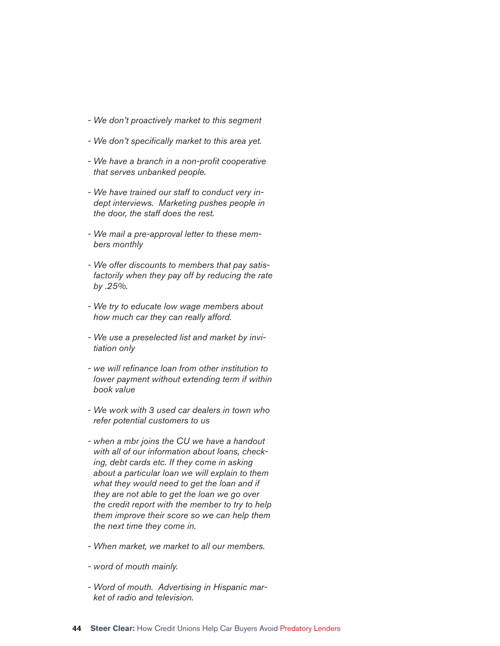- *We don't proactively market to this segment*
- We don't specifically market to this area yet.
- *We have a branch in a non-profi t cooperative that serves unbanked people.*
- *We have trained our staff to conduct very indept interviews. Marketing pushes people in the door, the staff does the rest.*
- *We mail a pre-approval letter to these members monthly*
- *We offer discounts to members that pay satisfactorily when they pay off by reducing the rate by .25%.*
- *We try to educate low wage members about how much car they can really afford.*
- *We use a preselected list and market by invitiation only*
- *we will refi nance loan from other institution to lower payment without extending term if within book value*
- *We work with 3 used car dealers in town who refer potential customers to us*
- *when a mbr joins the CU we have a handout with all of our information about loans, checking, debt cards etc. If they come in asking about a particular loan we will explain to them what they would need to get the loan and if they are not able to get the loan we go over the credit report with the member to try to help them improve their score so we can help them the next time they come in.*
- *When market, we market to all our members.*
- *word of mouth mainly.*
- *Word of mouth. Advertising in Hispanic market of radio and television.*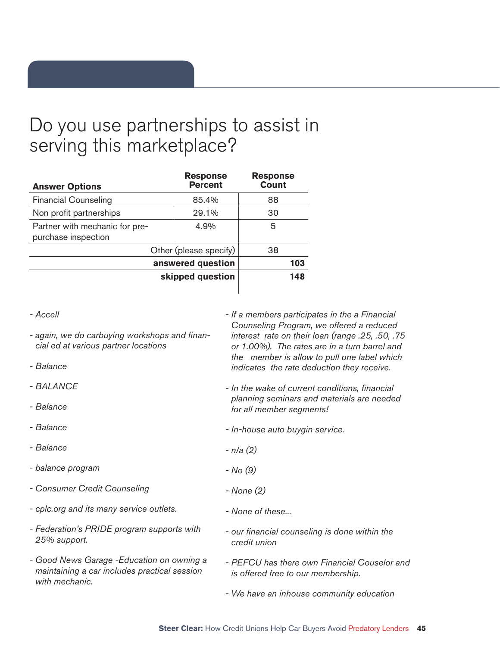### Do you use partnerships to assist in serving this marketplace?

| <b>Answer Options</b>                                 | <b>Response</b><br><b>Percent</b> | <b>Response</b><br><b>Count</b> |
|-------------------------------------------------------|-----------------------------------|---------------------------------|
| <b>Financial Counseling</b>                           | 85.4%                             | 88                              |
| Non profit partnerships                               | 29.1%                             | 30                              |
| Partner with mechanic for pre-<br>purchase inspection | 4.9%                              | 5                               |
|                                                       | Other (please specify)            | 38                              |
| answered question                                     |                                   | 103                             |
|                                                       | skipped question                  | 148                             |

*<sup>-</sup> Accell* 

- again, we do carbuying workshops and finan*cial ed at various partner locations*
- *Balance*
- *BALANCE*
- *Balance*
- *Balance*
- *Balance*
- *balance program*
- *Consumer Credit Counseling*
- *cplc.org and its many service outlets.*
- *Federation's PRIDE program supports with 25% support.*
- *Good News Garage -Education on owning a maintaining a car includes practical session with mechanic.*
- *If a members participates in the a Financial Counseling Program, we offered a reduced interest rate on their loan (range .25, .50, .75 or 1.00%). The rates are in a turn barrel and the member is allow to pull one label which indicates the rate deduction they receive.*
- *In the wake of current conditions, fi nancial planning seminars and materials are needed for all member segments!*
- *In-house auto buygin service.*
- *n/a (2)*
- *No (9)*
- *None (2)*
	- *None of these...*
		- *our fi nancial counseling is done within the credit union*
			- *PEFCU has there own Financial Couselor and is offered free to our membership.*
			- *We have an inhouse community education*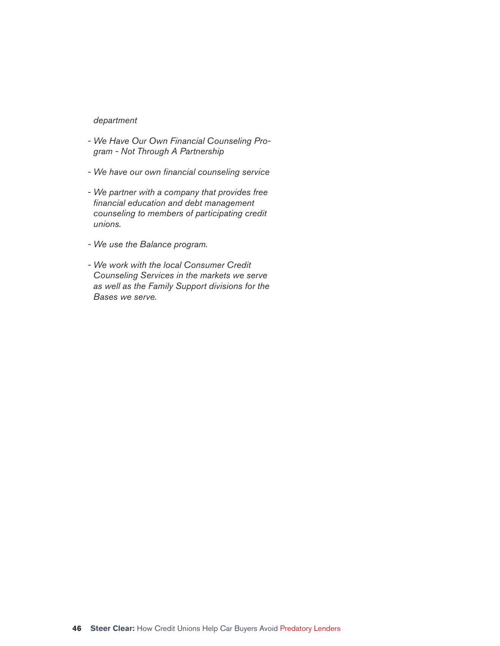#### *department*

- *We Have Our Own Financial Counseling Program - Not Through A Partnership*
- *We have our own fi nancial counseling service*
- *We partner with a company that provides free fi nancial education and debt management counseling to members of participating credit unions.*
- *We use the Balance program.*
- *We work with the local Consumer Credit Counseling Services in the markets we serve as well as the Family Support divisions for the Bases we serve.*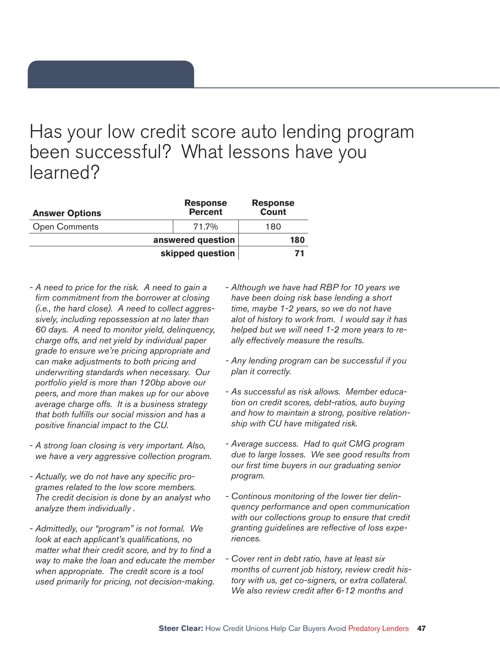### Has your low credit score auto lending program been successful? What lessons have you learned?

| <b>Answer Options</b> | <b>Response</b><br><b>Percent</b> | <b>Response</b><br><b>Count</b> |
|-----------------------|-----------------------------------|---------------------------------|
| <b>Open Comments</b>  | 71.7%                             | 180                             |
|                       | answered question                 | 180                             |
|                       | skipped question                  | 71                              |

- *A need to price for the risk. A need to gain a fi rm commitment from the borrower at closing (i.e., the hard close). A need to collect aggressively, including repossession at no later than 60 days. A need to monitor yield, delinquency, charge offs, and net yield by individual paper grade to ensure we're pricing appropriate and can make adjustments to both pricing and underwriting standards when necessary. Our portfolio yield is more than 120bp above our peers, and more than makes up for our above average charge offs. It is a business strategy that both fulfi lls our social mission and has a positive fi nancial impact to the CU.*
- *A strong loan closing is very important. Also, we have a very aggressive collection program.*
- Actually, we do not have any specific pro*grames related to the low score members. The credit decision is done by an analyst who analyze them individually .*
- *Admittedly, our "program" is not formal. We look at each applicant's qualifications, no matter what their credit score, and try to find a way to make the loan and educate the member when appropriate. The credit score is a tool used primarily for pricing, not decision-making.*
- *Although we have had RBP for 10 years we have been doing risk base lending a short time, maybe 1-2 years, so we do not have alot of history to work from. I would say it has helped but we will need 1-2 more years to really effectively measure the results.*
- *Any lending program can be successful if you plan it correctly.*
- *As successful as risk allows. Member education on credit scores, debt-ratios, auto buying and how to maintain a strong, positive relationship with CU have mitigated risk.*
- *Average success. Had to quit CMG program due to large losses. We see good results from our fi rst time buyers in our graduating senior program.*
- *Continous monitoring of the lower tier delinquency performance and open communication with our collections group to ensure that credit*  granting guidelines are reflective of loss expe*riences.*
- *Cover rent in debt ratio, have at least six months of current job history, review credit history with us, get co-signers, or extra collateral. We also review credit after 6-12 months and*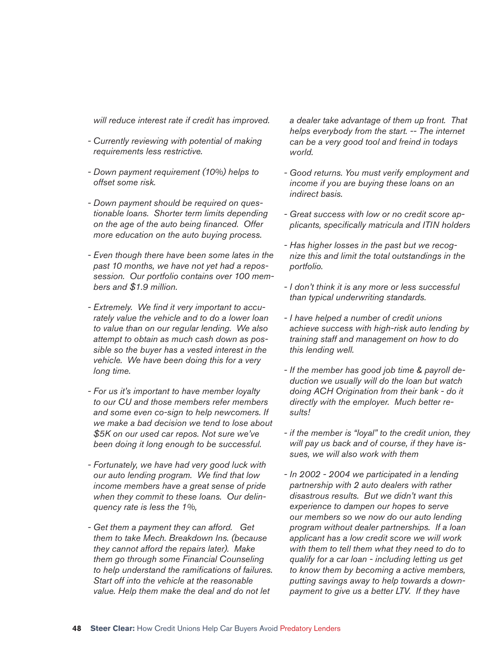*will reduce interest rate if credit has improved.*

- *Currently reviewing with potential of making requirements less restrictive.*
- *Down payment requirement (10%) helps to offset some risk.*
- *Down payment should be required on questionable loans. Shorter term limits depending on the age of the auto being fi nanced. Offer more education on the auto buying process.*
- *Even though there have been some lates in the past 10 months, we have not yet had a repossession. Our portfolio contains over 100 members and \$1.9 million.*
- Extremely. We find it very important to accu*rately value the vehicle and to do a lower loan to value than on our regular lending. We also attempt to obtain as much cash down as possible so the buyer has a vested interest in the vehicle. We have been doing this for a very long time.*
- *For us it's important to have member loyalty to our CU and those members refer members and some even co-sign to help newcomers. If we make a bad decision we tend to lose about \$5K on our used car repos. Not sure we've been doing it long enough to be successful.*
- *Fortunately, we have had very good luck with our auto lending program. We find that low income members have a great sense of pride when they commit to these loans. Our delinquency rate is less the 1%,*
- *Get them a payment they can afford. Get them to take Mech. Breakdown Ins. (because they cannot afford the repairs later). Make them go through some Financial Counseling*  to help understand the ramifications of failures. *Start off into the vehicle at the reasonable value. Help them make the deal and do not let*

*a dealer take advantage of them up front. That helps everybody from the start. -- The internet can be a very good tool and freind in todays world.*

- *Good returns. You must verify employment and income if you are buying these loans on an indirect basis.*
- *Great success with low or no credit score ap*plicants, specifically matricula and ITIN holders
- *Has higher losses in the past but we recognize this and limit the total outstandings in the portfolio.*
- *I don't think it is any more or less successful than typical underwriting standards.*
- *I have helped a number of credit unions achieve success with high-risk auto lending by training staff and management on how to do this lending well.*
- *If the member has good job time & payroll deduction we usually will do the loan but watch doing ACH Origination from their bank - do it directly with the employer. Much better results!*
- *if the member is "loyal" to the credit union, they will pay us back and of course, if they have issues, we will also work with them*
- *In 2002 2004 we participated in a lending partnership with 2 auto dealers with rather disastrous results. But we didn't want this experience to dampen our hopes to serve our members so we now do our auto lending program without dealer partnerships. If a loan applicant has a low credit score we will work with them to tell them what they need to do to qualify for a car loan - including letting us get to know them by becoming a active members, putting savings away to help towards a downpayment to give us a better LTV. If they have*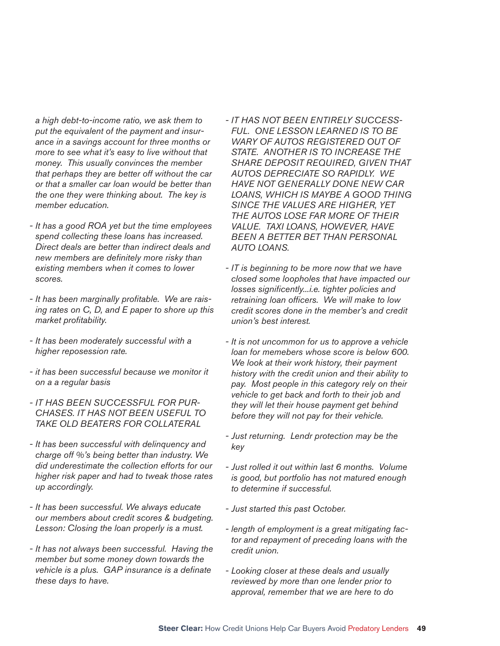*a high debt-to-income ratio, we ask them to put the equivalent of the payment and insurance in a savings account for three months or more to see what it's easy to live without that money. This usually convinces the member that perhaps they are better off without the car or that a smaller car loan would be better than the one they were thinking about. The key is member education.*

- *It has a good ROA yet but the time employees spend collecting these loans has increased. Direct deals are better than indirect deals and new members are defi nitely more risky than existing members when it comes to lower scores.*
- It has been marginally profitable. We are rais*ing rates on C, D, and E paper to shore up this market profi tability.*
- *It has been moderately successful with a higher reposession rate.*
- *it has been successful because we monitor it on a a regular basis*
- *IT HAS BEEN SUCCESSFUL FOR PUR-CHASES. IT HAS NOT BEEN USEFUL TO TAKE OLD BEATERS FOR COLLATERAL*
- *It has been successful with delinquency and charge off %'s being better than industry. We did underestimate the collection efforts for our higher risk paper and had to tweak those rates up accordingly.*
- *It has been successful. We always educate our members about credit scores & budgeting. Lesson: Closing the loan properly is a must.*
- *It has not always been successful. Having the member but some money down towards the vehicle is a plus. GAP insurance is a definate these days to have.*
- *IT HAS NOT BEEN ENTIRELY SUCCESS-FUL. ONE LESSON LEARNED IS TO BE WARY OF AUTOS REGISTERED OUT OF STATE. ANOTHER IS TO INCREASE THE SHARE DEPOSIT REQUIRED, GIVEN THAT AUTOS DEPRECIATE SO RAPIDLY. WE HAVE NOT GENERALLY DONE NEW CAR LOANS, WHICH IS MAYBE A GOOD THING SINCE THE VALUES ARE HIGHER, YET THE AUTOS LOSE FAR MORE OF THEIR VALUE. TAXI LOANS, HOWEVER, HAVE BEEN A BETTER BET THAN PERSONAL AUTO LOANS.*
- *IT is beginning to be more now that we have closed some loopholes that have impacted our*  losses significently...i.e. tighter policies and retraining loan officers. We will make to low *credit scores done in the member's and credit union's best interest.*
- *It is not uncommon for us to approve a vehicle loan for memebers whose score is below 600. We look at their work history, their payment history with the credit union and their ability to pay. Most people in this category rely on their vehicle to get back and forth to their job and they will let their house payment get behind before they will not pay for their vehicle.*
- *Just returning. Lendr protection may be the key*
- *Just rolled it out within last 6 months. Volume is good, but portfolio has not matured enough to determine if successful.*
- *Just started this past October.*
- *length of employment is a great mitigating factor and repayment of preceding loans with the credit union.*
- *Looking closer at these deals and usually reviewed by more than one lender prior to approval, remember that we are here to do*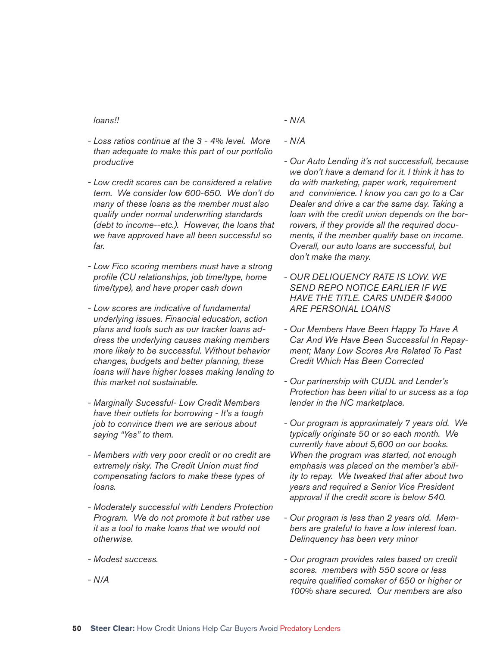#### *loans!!*

- *Loss ratios continue at the 3 4% level. More than adequate to make this part of our portfolio productive*
- *Low credit scores can be considered a relative term. We consider low 600-650. We don't do many of these loans as the member must also qualify under normal underwriting standards (debt to income--etc.). However, the loans that we have approved have all been successful so far.*
- *Low Fico scoring members must have a strong profi le (CU relationships, job time/type, home time/type), and have proper cash down*
- *Low scores are indicative of fundamental underlying issues. Financial education, action plans and tools such as our tracker loans address the underlying causes making members more likely to be successful. Without behavior changes, budgets and better planning, these loans will have higher losses making lending to this market not sustainable.*
- *Marginally Sucessful- Low Credit Members have their outlets for borrowing - It's a tough job to convince them we are serious about saying "Yes" to them.*
- *Members with very poor credit or no credit are*  extremely risky. The Credit Union must find *compensating factors to make these types of loans.*
- *Moderately successful with Lenders Protection Program. We do not promote it but rather use it as a tool to make loans that we would not otherwise.*
- *Modest success.*
- *N/A*
- *N/A*
- *N/A*
- *Our Auto Lending it's not successfull, because we don't have a demand for it. I think it has to do with marketing, paper work, requirement and convinience. I know you can go to a Car Dealer and drive a car the same day. Taking a loan with the credit union depends on the borrowers, if they provide all the required documents, if the member qualify base on income. Overall, our auto loans are successful, but don't make tha many.*
- *OUR DELIQUENCY RATE IS LOW. WE SEND REPO NOTICE EARLIER IF WE HAVE THE TITLE. CARS UNDER \$4000 ARE PERSONAL LOANS*
- *Our Members Have Been Happy To Have A Car And We Have Been Successful In Repayment; Many Low Scores Are Related To Past Credit Which Has Been Corrected*
- *Our partnership with CUDL and Lender's Protection has been vitial to ur sucess as a top lender in the NC marketplace.*
- *Our program is approximately 7 years old. We typically originate 50 or so each month. We currently have about 5,600 on our books. When the program was started, not enough emphasis was placed on the member's ability to repay. We tweaked that after about two years and required a Senior Vice President approval if the credit score is below 540.*
- *Our program is less than 2 years old. Members are grateful to have a low interest loan. Delinquency has been very minor*
- *Our program provides rates based on credit scores. members with 550 score or less require qualified comaker of 650 or higher or 100% share secured. Our members are also*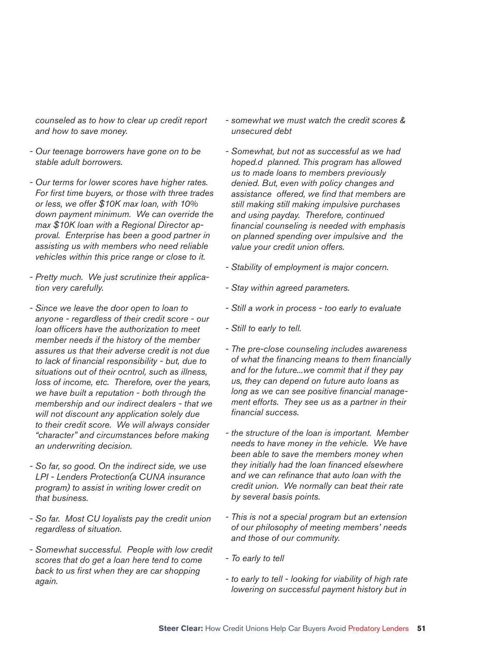*counseled as to how to clear up credit report and how to save money.*

- *Our teenage borrowers have gone on to be stable adult borrowers.*
- *Our terms for lower scores have higher rates.*  For first time buyers, or those with three trades *or less, we offer \$10K max loan, with 10% down payment minimum. We can override the max \$10K loan with a Regional Director approval. Enterprise has been a good partner in assisting us with members who need reliable vehicles within this price range or close to it.*
- *Pretty much. We just scrutinize their application very carefully.*
- *Since we leave the door open to loan to anyone - regardless of their credit score - our loan offi cers have the authorization to meet member needs if the history of the member assures us that their adverse credit is not due*  to lack of financial responsibility - but, due to *situations out of their ocntrol, such as illness, loss of income, etc. Therefore, over the years, we have built a reputation - both through the membership and our indirect dealers - that we will not discount any application solely due to their credit score. We will always consider "character" and circumstances before making an underwriting decision.*
- *So far, so good. On the indirect side, we use LPI - Lenders Protection(a CUNA insurance program) to assist in writing lower credit on that business.*
- *So far. Most CU loyalists pay the credit union regardless of situation.*
- *Somewhat successful. People with low credit scores that do get a loan here tend to come*  back to us first when they are car shopping *again.*
- *somewhat we must watch the credit scores & unsecured debt*
- *Somewhat, but not as successful as we had hoped.d planned. This program has allowed us to made loans to members previously denied. But, even with policy changes and*  assistance offered, we find that members are *still making still making impulsive purchases and using payday. Therefore, continued fi nancial counseling is needed with emphasis on planned spending over impulsive and the value your credit union offers.*
- *Stability of employment is major concern.*
- *Stay within agreed parameters.*
- *Still a work in process too early to evaluate*
- *Still to early to tell.*
- *The pre-close counseling includes awareness of what the fi nancing means to them fi nancially and for the future...we commit that if they pay us, they can depend on future auto loans as*  long as we can see positive financial manage*ment efforts. They see us as a partner in their fi nancial success.*
- *the structure of the loan is important. Member needs to have money in the vehicle. We have been able to save the members money when they initially had the loan fi nanced elsewhere*  and we can refinance that auto loan with the *credit union. We normally can beat their rate by several basis points.*
- *This is not a special program but an extension of our philosophy of meeting members' needs and those of our community.*
- *To early to tell*
- *to early to tell looking for viability of high rate lowering on successful payment history but in*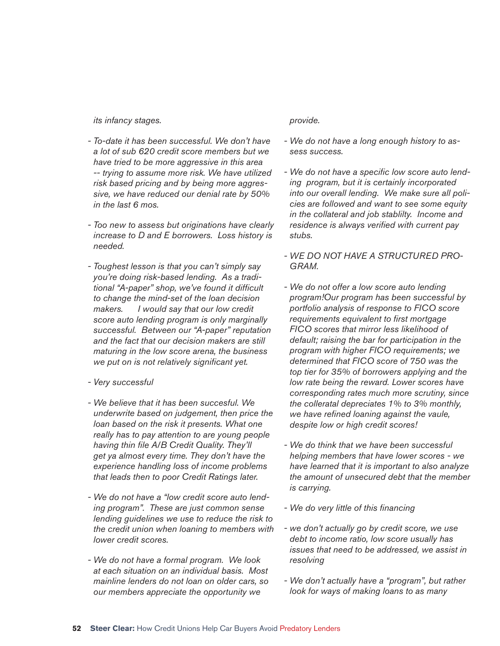*its infancy stages.*

- *To-date it has been successful. We don't have a lot of sub 620 credit score members but we have tried to be more aggressive in this area -- trying to assume more risk. We have utilized risk based pricing and by being more aggressive, we have reduced our denial rate by 50% in the last 6 mos.*
- *Too new to assess but originations have clearly increase to D and E borrowers. Loss history is needed.*
- *Toughest lesson is that you can't simply say you're doing risk-based lending. As a tradi*tional "A-paper" shop, we've found it difficult *to change the mind-set of the loan decision makers. I would say that our low credit score auto lending program is only marginally successful. Between our "A-paper" reputation and the fact that our decision makers are still maturing in the low score arena, the business we put on is not relatively significant yet.*
- *Very successful*
- *We believe that it has been succesful. We underwrite based on judgement, then price the loan based on the risk it presents. What one really has to pay attention to are young people*  having thin file A/B Credit Quality. They'll *get ya almost every time. They don't have the experience handling loss of income problems that leads then to poor Credit Ratings later.*
- *We do not have a "low credit score auto lending program". These are just common sense lending guidelines we use to reduce the risk to the credit union when loaning to members with lower credit scores.*
- *We do not have a formal program. We look at each situation on an individual basis. Most mainline lenders do not loan on older cars, so our members appreciate the opportunity we*

*provide.*

- *We do not have a long enough history to assess success.*
- We do not have a specific low score auto lend*ing program, but it is certainly incorporated into our overall lending. We make sure all policies are followed and want to see some equity in the collateral and job stablilty. Income and residence is always verified with current pay stubs.*
- *WE DO NOT HAVE A STRUCTURED PRO-GRAM.*
- *We do not offer a low score auto lending program!Our program has been successful by portfolio analysis of response to FICO score requirements equivalent to first mortgage FICO scores that mirror less likelihood of default; raising the bar for participation in the program with higher FICO requirements; we determined that FICO score of 750 was the top tier for 35% of borrowers applying and the low rate being the reward. Lower scores have corresponding rates much more scrutiny, since the colleratal depreciates 1% to 3% monthly,*  we have refined loaning against the vaule, *despite low or high credit scores!*
- *We do think that we have been successful helping members that have lower scores - we have learned that it is important to also analyze the amount of unsecured debt that the member is carrying.*
- *We do very little of this fi nancing*
- *we don't actually go by credit score, we use debt to income ratio, low score usually has issues that need to be addressed, we assist in resolving*
- *We don't actually have a "program", but rather look for ways of making loans to as many*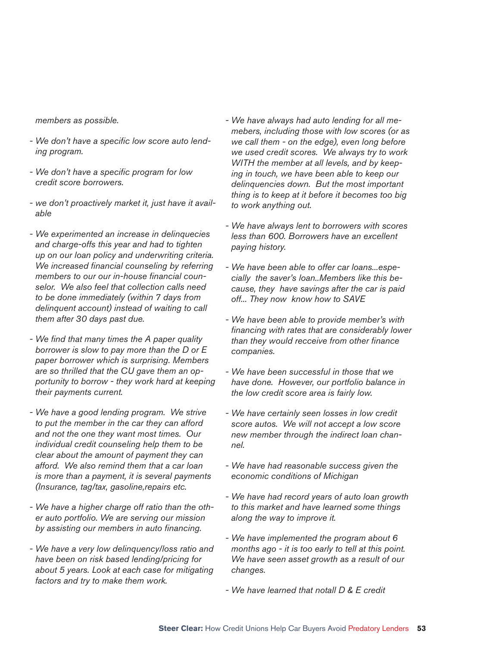*members as possible.*

- We don't have a specific low score auto lend*ing program.*
- We don't have a specific program for low *credit score borrowers.*
- *we don't proactively market it, just have it available*
- *We experimented an increase in delinquecies and charge-offs this year and had to tighten up on our loan policy and underwriting criteria. We increased financial counseling by referring* members to our our in-house financial coun*selor. We also feel that collection calls need to be done immediately (within 7 days from delinquent account) instead of waiting to call them after 30 days past due.*
- *We fi nd that many times the A paper quality borrower is slow to pay more than the D or E paper borrower which is surprising. Members are so thrilled that the CU gave them an opportunity to borrow - they work hard at keeping their payments current.*
- *We have a good lending program. We strive to put the member in the car they can afford and not the one they want most times. Our individual credit counseling help them to be clear about the amount of payment they can afford. We also remind them that a car loan is more than a payment, it is several payments (Insurance, tag/tax, gasoline,repairs etc.*
- *We have a higher charge off ratio than the other auto portfolio. We are serving our mission*  by assisting our members in auto financing.
- *We have a very low delinquency/loss ratio and have been on risk based lending/pricing for about 5 years. Look at each case for mitigating factors and try to make them work.*
- *We have always had auto lending for all memebers, including those with low scores (or as we call them - on the edge), even long before we used credit scores. We always try to work WITH the member at all levels, and by keeping in touch, we have been able to keep our delinquencies down. But the most important thing is to keep at it before it becomes too big to work anything out.*
- *We have always lent to borrowers with scores less than 600. Borrowers have an excellent paying history.*
- *We have been able to offer car loans...especially the saver's loan..Members like this because, they have savings after the car is paid off... They now know how to SAVE*
- *We have been able to provide member's with fi nancing with rates that are considerably lower than they would recceive from other fi nance companies.*
- *We have been successful in those that we have done. However, our portfolio balance in the low credit score area is fairly low.*
- *We have certainly seen losses in low credit score autos. We will not accept a low score new member through the indirect loan channel.*
- *We have had reasonable success given the economic conditions of Michigan*
- *We have had record years of auto loan growth to this market and have learned some things along the way to improve it.*
- *We have implemented the program about 6 months ago - it is too early to tell at this point. We have seen asset growth as a result of our changes.*
- *We have learned that notall D & E credit*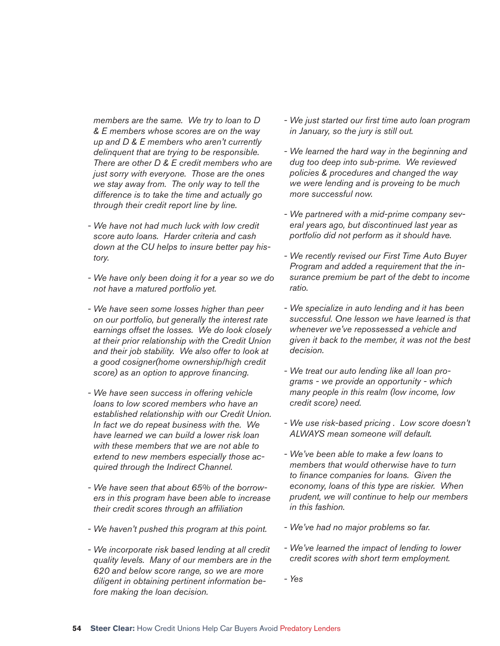*members are the same. We try to loan to D & E members whose scores are on the way up and D & E members who aren't currently delinquent that are trying to be responsible. There are other D & E credit members who are just sorry with everyone. Those are the ones we stay away from. The only way to tell the difference is to take the time and actually go through their credit report line by line.*

- *We have not had much luck with low credit score auto loans. Harder criteria and cash down at the CU helps to insure better pay history.*
- *We have only been doing it for a year so we do not have a matured portfolio yet.*
- *We have seen some losses higher than peer on our portfolio, but generally the interest rate earnings offset the losses. We do look closely at their prior relationship with the Credit Union and their job stability. We also offer to look at a good cosigner(home ownership/high credit*  score) as an option to approve financing.
- *We have seen success in offering vehicle loans to low scored members who have an established relationship with our Credit Union. In fact we do repeat business with the. We have learned we can build a lower risk loan with these members that we are not able to extend to new members especially those acquired through the Indirect Channel.*
- *We have seen that about 65% of the borrowers in this program have been able to increase their credit scores through an affi liation*
- *We haven't pushed this program at this point.*
- *We incorporate risk based lending at all credit quality levels. Many of our members are in the 620 and below score range, so we are more diligent in obtaining pertinent information before making the loan decision.*
- *We just started our fi rst time auto loan program in January, so the jury is still out.*
- *We learned the hard way in the beginning and dug too deep into sub-prime. We reviewed policies & procedures and changed the way we were lending and is proveing to be much more successful now.*
- *We partnered with a mid-prime company several years ago, but discontinued last year as portfolio did not perform as it should have.*
- *We recently revised our First Time Auto Buyer Program and added a requirement that the insurance premium be part of the debt to income ratio.*
- *We specialize in auto lending and it has been successful. One lesson we have learned is that whenever we've repossessed a vehicle and given it back to the member, it was not the best decision.*
- *We treat our auto lending like all loan programs - we provide an opportunity - which many people in this realm (low income, low credit score) need.*
- *We use risk-based pricing . Low score doesn't ALWAYS mean someone will default.*
- *We've been able to make a few loans to members that would otherwise have to turn to fi nance companies for loans. Given the economy, loans of this type are riskier. When prudent, we will continue to help our members in this fashion.*
- *We've had no major problems so far.*
- *We've learned the impact of lending to lower credit scores with short term employment.*
- *Yes*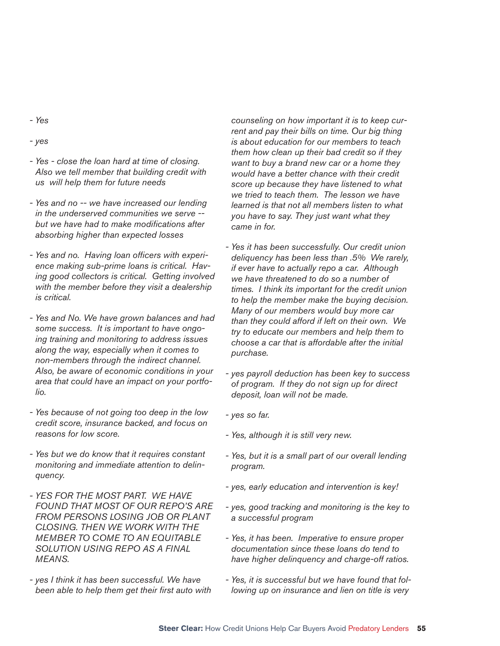- *Yes*
- *yes*
- *Yes close the loan hard at time of closing. Also we tell member that building credit with us will help them for future needs*
- *Yes and no -- we have increased our lending in the underserved communities we serve -*  but we have had to make modifications after *absorbing higher than expected losses*
- Yes and no. Having loan officers with experi*ence making sub-prime loans is critical. Having good collectors is critical. Getting involved with the member before they visit a dealership is critical.*
- *Yes and No. We have grown balances and had some success. It is important to have ongoing training and monitoring to address issues along the way, especially when it comes to non-members through the indirect channel. Also, be aware of economic conditions in your area that could have an impact on your portfolio.*
- *Yes because of not going too deep in the low credit score, insurance backed, and focus on reasons for low score.*
- *Yes but we do know that it requires constant monitoring and immediate attention to delinquency.*
- *YES FOR THE MOST PART. WE HAVE FOUND THAT MOST OF OUR REPO'S ARE FROM PERSONS LOSING JOB OR PLANT CLOSING. THEN WE WORK WITH THE MEMBER TO COME TO AN EQUITABLE SOLUTION USING REPO AS A FINAL MEANS.*
- *yes I think it has been successful. We have*  been able to help them get their first auto with

*counseling on how important it is to keep current and pay their bills on time. Our big thing is about education for our members to teach them how clean up their bad credit so if they want to buy a brand new car or a home they would have a better chance with their credit score up because they have listened to what we tried to teach them. The lesson we have learned is that not all members listen to what you have to say. They just want what they came in for.*

- *Yes it has been successfully. Our credit union deliquency has been less than .5% We rarely, if ever have to actually repo a car. Although we have threatened to do so a number of times. I think its important for the credit union to help the member make the buying decision. Many of our members would buy more car than they could afford if left on their own. We try to educate our members and help them to choose a car that is affordable after the initial purchase.*
- *yes payroll deduction has been key to success of program. If they do not sign up for direct deposit, loan will not be made.*
- *yes so far.*
- *Yes, although it is still very new.*
- *Yes, but it is a small part of our overall lending program.*
- *yes, early education and intervention is key!*
- *yes, good tracking and monitoring is the key to a successful program*
- *Yes, it has been. Imperative to ensure proper documentation since these loans do tend to have higher delinquency and charge-off ratios.*
- *Yes, it is successful but we have found that following up on insurance and lien on title is very*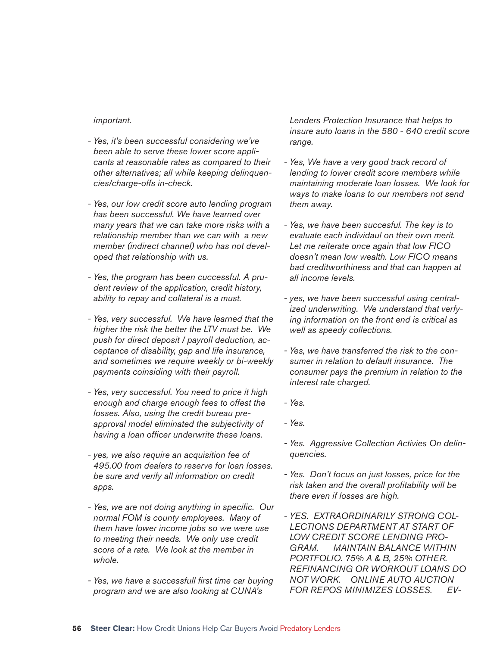#### *important.*

- *Yes, it's been successful considering we've been able to serve these lower score applicants at reasonable rates as compared to their other alternatives; all while keeping delinquencies/charge-offs in-check.*
- *Yes, our low credit score auto lending program has been successful. We have learned over many years that we can take more risks with a relationship member than we can with a new member (indirect channel) who has not developed that relationship with us.*
- *Yes, the program has been cuccessful. A prudent review of the application, credit history, ability to repay and collateral is a must.*
- *Yes, very successful. We have learned that the higher the risk the better the LTV must be. We push for direct deposit / payroll deduction, acceptance of disability, gap and life insurance, and sometimes we require weekly or bi-weekly payments coinsiding with their payroll.*
- *Yes, very successful. You need to price it high enough and charge enough fees to offest the losses. Also, using the credit bureau preapproval model eliminated the subjectivity of*  having a loan officer underwrite these loans.
- *yes, we also require an acquisition fee of 495.00 from dealers to reserve for loan losses. be sure and verify all information on credit apps.*
- Yes, we are not doing anything in specific. Our *normal FOM is county employees. Many of them have lower income jobs so we were use to meeting their needs. We only use credit score of a rate. We look at the member in whole.*
- *Yes, we have a successfull fi rst time car buying program and we are also looking at CUNA's*

*Lenders Protection Insurance that helps to insure auto loans in the 580 - 640 credit score range.*

- *Yes, We have a very good track record of lending to lower credit score members while maintaining moderate loan losses. We look for ways to make loans to our members not send them away.*
- *Yes, we have been succesful. The key is to evaluate each individaul on their own merit. Let me reiterate once again that low FICO doesn't mean low wealth. Low FICO means bad creditworthiness and that can happen at all income levels.*
- *yes, we have been successful using centralized underwriting. We understand that verfying information on the front end is critical as well as speedy collections.*
- *Yes, we have transferred the risk to the consumer in relation to default insurance. The consumer pays the premium in relation to the interest rate charged.*
- *Yes.*
- *Yes.*
- *Yes. Aggressive Collection Activies On delinquencies.*
- *Yes. Don't focus on just losses, price for the risk taken and the overall profi tability will be there even if losses are high.*
- *YES. EXTRAORDINARILY STRONG COL-LECTIONS DEPARTMENT AT START OF LOW CREDIT SCORE LENDING PRO-GRAM. MAINTAIN BALANCE WITHIN PORTFOLIO. 75% A & B, 25% OTHER. REFINANCING OR WORKOUT LOANS DO NOT WORK. ONLINE AUTO AUCTION FOR REPOS MINIMIZES LOSSES. EV-*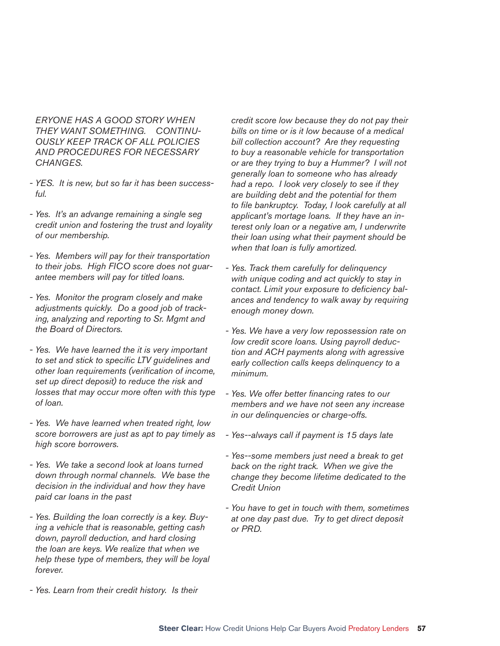*ERYONE HAS A GOOD STORY WHEN THEY WANT SOMETHING. CONTINU-OUSLY KEEP TRACK OF ALL POLICIES AND PROCEDURES FOR NECESSARY CHANGES.*

- *YES. It is new, but so far it has been successful.*
- *Yes. It's an advange remaining a single seg credit union and fostering the trust and loyality of our membership.*
- *Yes. Members will pay for their transportation to their jobs. High FICO score does not guarantee members will pay for titled loans.*
- *Yes. Monitor the program closely and make adjustments quickly. Do a good job of tracking, analyzing and reporting to Sr. Mgmt and the Board of Directors.*
- *Yes. We have learned the it is very important*  to set and stick to specific LTV guidelines and *other loan requirements (verification of income, set up direct deposit) to reduce the risk and losses that may occur more often with this type of loan.*
- *Yes. We have learned when treated right, low score borrowers are just as apt to pay timely as high score borrowers.*
- *Yes. We take a second look at loans turned down through normal channels. We base the decision in the individual and how they have paid car loans in the past*
- *Yes. Building the loan correctly is a key. Buying a vehicle that is reasonable, getting cash down, payroll deduction, and hard closing the loan are keys. We realize that when we help these type of members, they will be loyal forever.*
- *Yes. Learn from their credit history. Is their*

*credit score low because they do not pay their bills on time or is it low because of a medical bill collection account? Are they requesting to buy a reasonable vehicle for transportation or are they trying to buy a Hummer? I will not generally loan to someone who has already had a repo. I look very closely to see if they are building debt and the potential for them to fi le bankruptcy. Today, I look carefully at all applicant's mortage loans. If they have an interest only loan or a negative am, I underwrite their loan using what their payment should be when that loan is fully amortized.*

- *Yes. Track them carefully for delinquency with unique coding and act quickly to stay in*  contact. Limit your exposure to deficiency bal*ances and tendency to walk away by requiring enough money down.*
- *Yes. We have a very low repossession rate on low credit score loans. Using payroll deduction and ACH payments along with agressive early collection calls keeps delinquency to a minimum.*
- *Yes. We offer better financing rates to our members and we have not seen any increase in our delinquencies or charge-offs.*
- *Yes--always call if payment is 15 days late*
- *Yes--some members just need a break to get back on the right track. When we give the change they become lifetime dedicated to the Credit Union*
- *You have to get in touch with them, sometimes at one day past due. Try to get direct deposit or PRD.*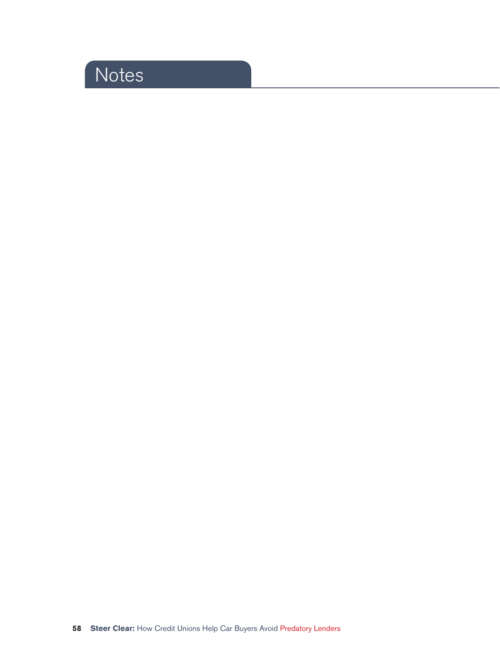# **Notes**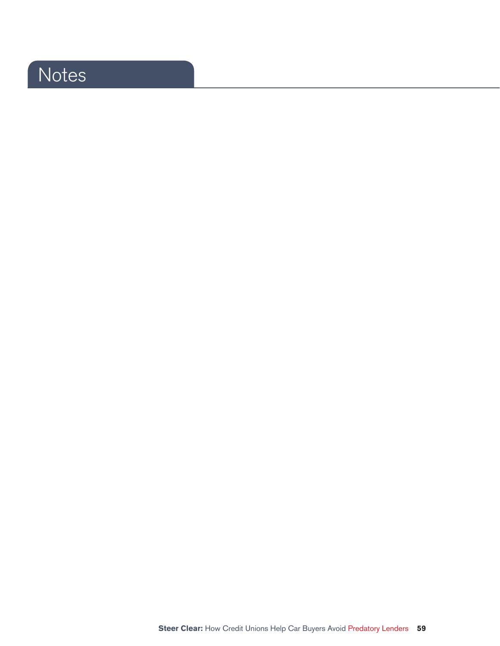# Notes